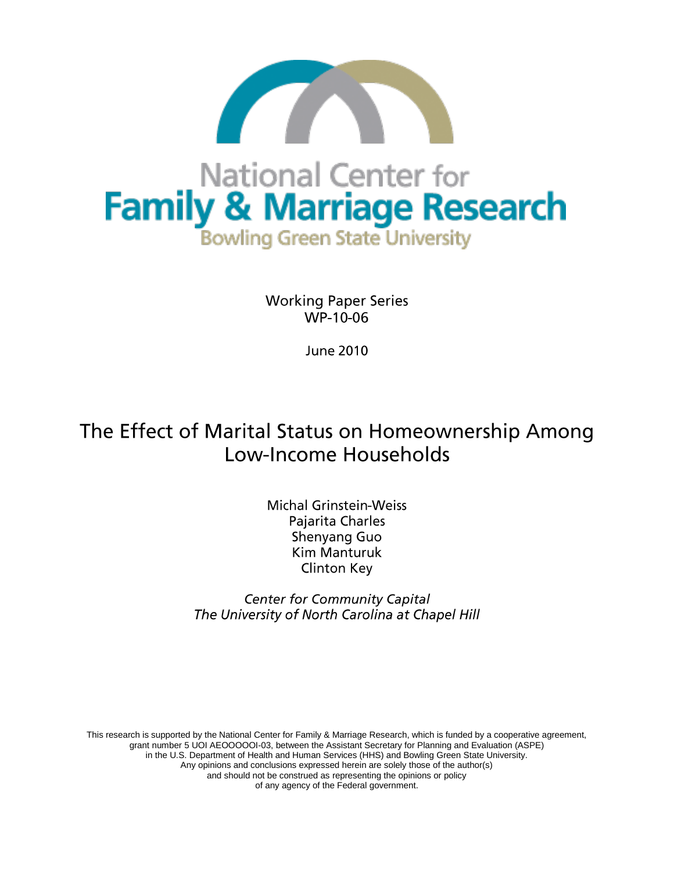

**Working Paper Series** WP-10-06

**June 2010** 

# The Effect of Marital Status on Homeownership Among Low-Income Households

**Michal Grinstein-Weiss** Pajarita Charles Shenyang Guo **Kim Manturuk Clinton Key** 

**Center for Community Capital** The University of North Carolina at Chapel Hill

This research is supported by the National Center for Family & Marriage Research, which is funded by a cooperative agreement, grant number 5 UOI AEOOOOOI-03, between the Assistant Secretary for Planning and Evaluation (ASPE) in the U.S. Department of Health and Human Services (HHS) and Bowling Green State University. Any opinions and conclusions expressed herein are solely those of the author(s) and should not be construed as representing the opinions or policy of any agency of the Federal government.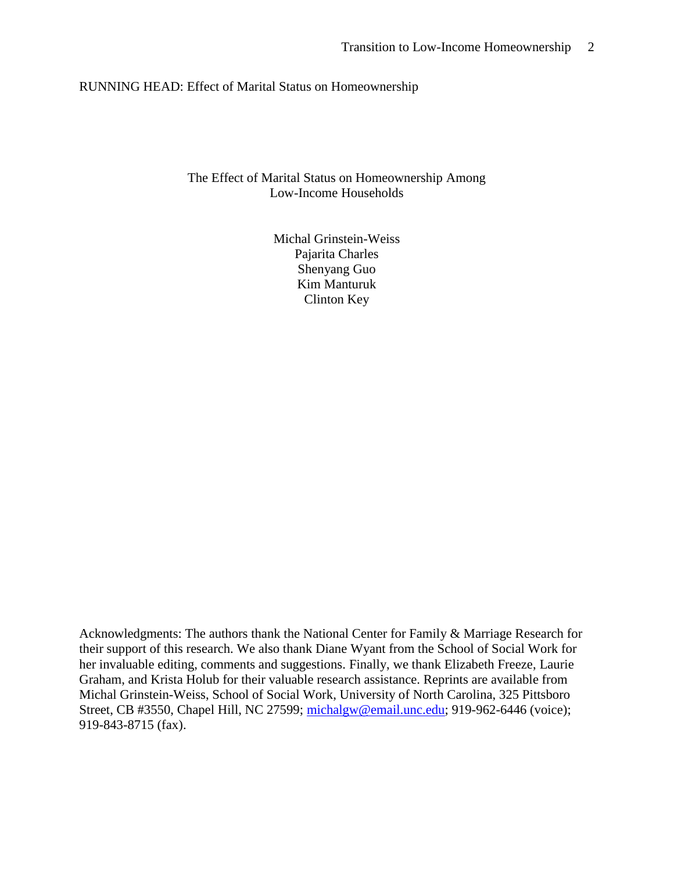# RUNNING HEAD: Effect of Marital Status on Homeownership

# The Effect of Marital Status on Homeownership Among Low-Income Households

Michal Grinstein-Weiss Pajarita Charles Shenyang Guo Kim Manturuk Clinton Key

Acknowledgments: The authors thank the National Center for Family & Marriage Research for their support of this research. We also thank Diane Wyant from the School of Social Work for her invaluable editing, comments and suggestions. Finally, we thank Elizabeth Freeze, Laurie Graham, and Krista Holub for their valuable research assistance. Reprints are available from Michal Grinstein-Weiss, School of Social Work, University of North Carolina, 325 Pittsboro Street, CB #3550, Chapel Hill, NC 27599; [michalgw@email.unc.edu;](mailto:michalgw@email.unc.edu) 919-962-6446 (voice); 919-843-8715 (fax).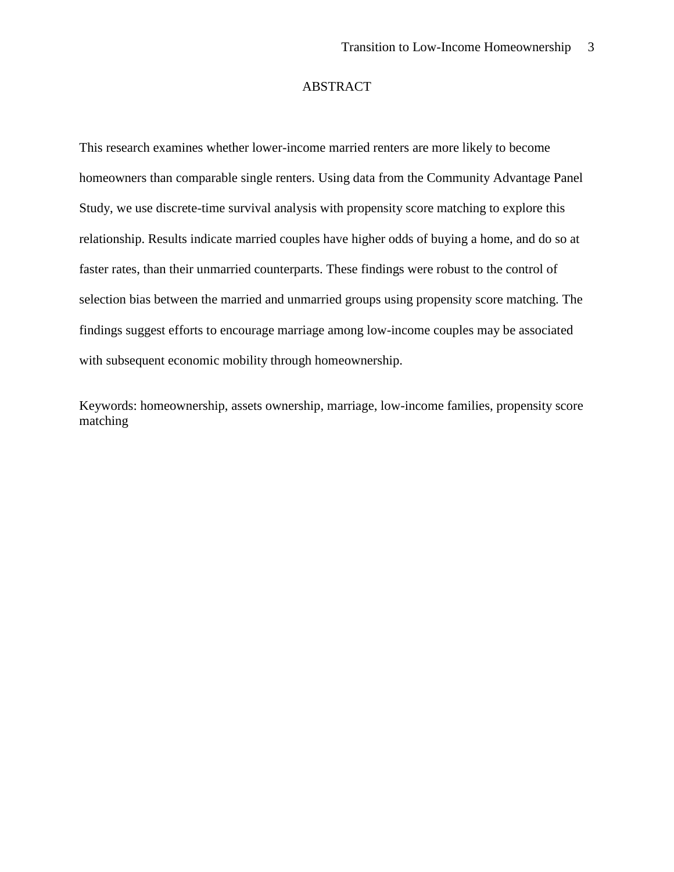## ABSTRACT

This research examines whether lower-income married renters are more likely to become homeowners than comparable single renters. Using data from the Community Advantage Panel Study, we use discrete-time survival analysis with propensity score matching to explore this relationship. Results indicate married couples have higher odds of buying a home, and do so at faster rates, than their unmarried counterparts. These findings were robust to the control of selection bias between the married and unmarried groups using propensity score matching. The findings suggest efforts to encourage marriage among low-income couples may be associated with subsequent economic mobility through homeownership.

Keywords: homeownership, assets ownership, marriage, low-income families, propensity score matching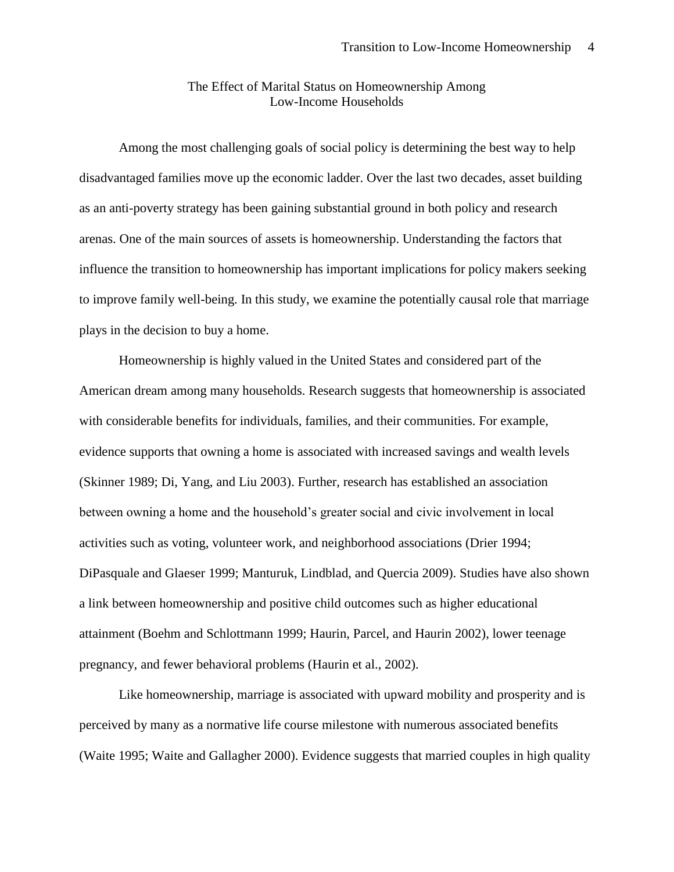# The Effect of Marital Status on Homeownership Among Low-Income Households

Among the most challenging goals of social policy is determining the best way to help disadvantaged families move up the economic ladder. Over the last two decades, asset building as an anti-poverty strategy has been gaining substantial ground in both policy and research arenas. One of the main sources of assets is homeownership. Understanding the factors that influence the transition to homeownership has important implications for policy makers seeking to improve family well-being. In this study, we examine the potentially causal role that marriage plays in the decision to buy a home.

Homeownership is highly valued in the United States and considered part of the American dream among many households. Research suggests that homeownership is associated with considerable benefits for individuals, families, and their communities. For example, evidence supports that owning a home is associated with increased savings and wealth levels (Skinner 1989; Di, Yang, and Liu 2003). Further, research has established an association between owning a home and the household's greater social and civic involvement in local activities such as voting, volunteer work, and neighborhood associations (Drier 1994; DiPasquale and Glaeser 1999; Manturuk, Lindblad, and Quercia 2009). Studies have also shown a link between homeownership and positive child outcomes such as higher educational attainment (Boehm and Schlottmann 1999; Haurin, Parcel, and Haurin 2002), lower teenage pregnancy, and fewer behavioral problems (Haurin et al., 2002).

Like homeownership, marriage is associated with upward mobility and prosperity and is perceived by many as a normative life course milestone with numerous associated benefits (Waite 1995; Waite and Gallagher 2000). Evidence suggests that married couples in high quality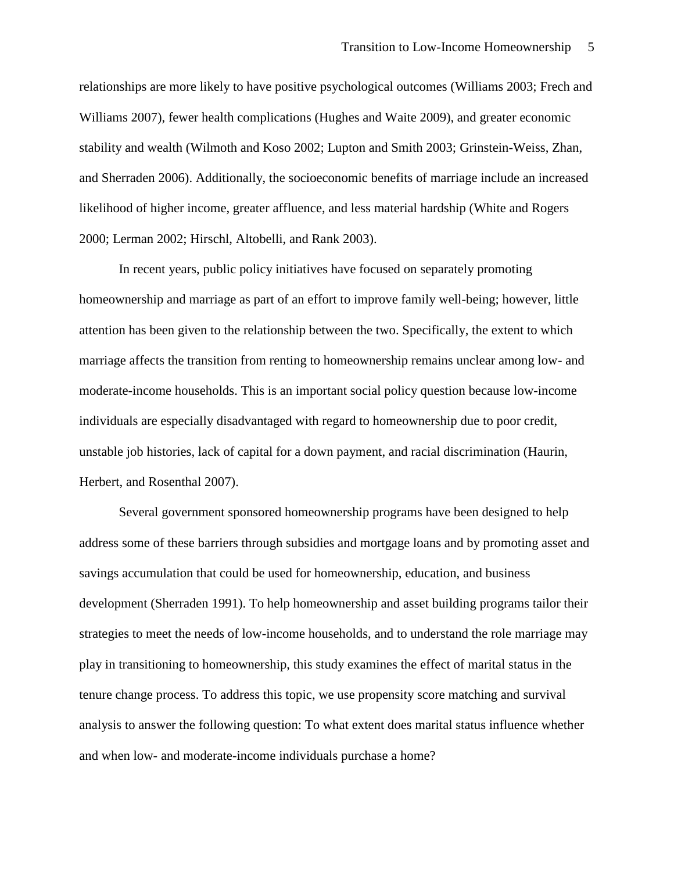relationships are more likely to have positive psychological outcomes (Williams 2003; Frech and Williams 2007), fewer health complications (Hughes and Waite 2009), and greater economic stability and wealth (Wilmoth and Koso 2002; Lupton and Smith 2003; Grinstein-Weiss, Zhan, and Sherraden 2006). Additionally, the socioeconomic benefits of marriage include an increased likelihood of higher income, greater affluence, and less material hardship (White and Rogers 2000; Lerman 2002; Hirschl, Altobelli, and Rank 2003).

In recent years, public policy initiatives have focused on separately promoting homeownership and marriage as part of an effort to improve family well-being; however, little attention has been given to the relationship between the two. Specifically, the extent to which marriage affects the transition from renting to homeownership remains unclear among low- and moderate-income households. This is an important social policy question because low-income individuals are especially disadvantaged with regard to homeownership due to poor credit, unstable job histories, lack of capital for a down payment, and racial discrimination (Haurin, Herbert, and Rosenthal 2007).

Several government sponsored homeownership programs have been designed to help address some of these barriers through subsidies and mortgage loans and by promoting asset and savings accumulation that could be used for homeownership, education, and business development (Sherraden 1991). To help homeownership and asset building programs tailor their strategies to meet the needs of low-income households, and to understand the role marriage may play in transitioning to homeownership, this study examines the effect of marital status in the tenure change process. To address this topic, we use propensity score matching and survival analysis to answer the following question: To what extent does marital status influence whether and when low- and moderate-income individuals purchase a home?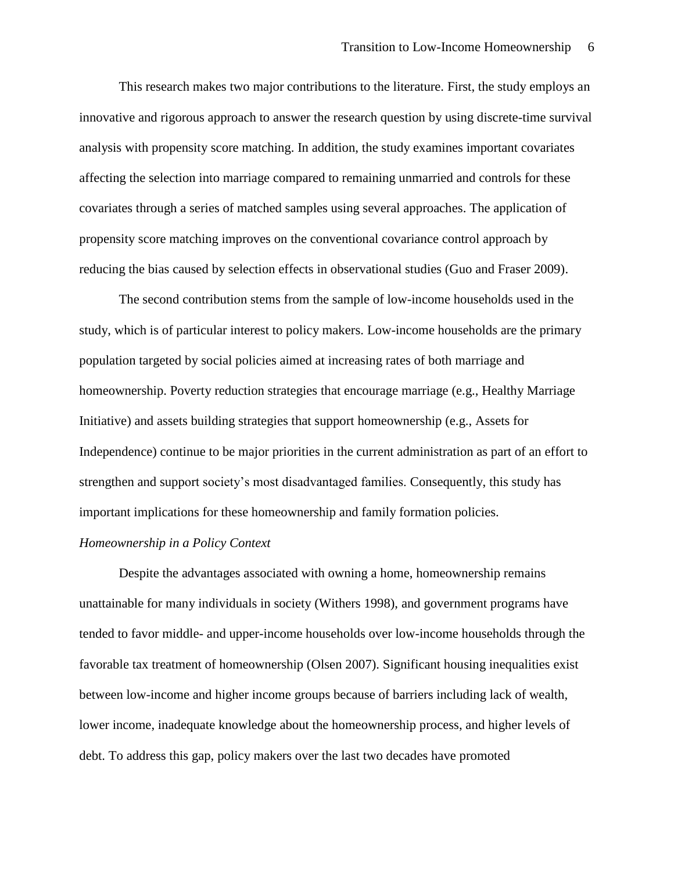This research makes two major contributions to the literature. First, the study employs an innovative and rigorous approach to answer the research question by using discrete-time survival analysis with propensity score matching. In addition, the study examines important covariates affecting the selection into marriage compared to remaining unmarried and controls for these covariates through a series of matched samples using several approaches. The application of propensity score matching improves on the conventional covariance control approach by reducing the bias caused by selection effects in observational studies (Guo and Fraser 2009).

The second contribution stems from the sample of low-income households used in the study, which is of particular interest to policy makers. Low-income households are the primary population targeted by social policies aimed at increasing rates of both marriage and homeownership. Poverty reduction strategies that encourage marriage (e.g., Healthy Marriage Initiative) and assets building strategies that support homeownership (e.g., Assets for Independence) continue to be major priorities in the current administration as part of an effort to strengthen and support society's most disadvantaged families. Consequently, this study has important implications for these homeownership and family formation policies.

# *Homeownership in a Policy Context*

Despite the advantages associated with owning a home, homeownership remains unattainable for many individuals in society (Withers 1998), and government programs have tended to favor middle- and upper-income households over low-income households through the favorable tax treatment of homeownership (Olsen 2007). Significant housing inequalities exist between low-income and higher income groups because of barriers including lack of wealth, lower income, inadequate knowledge about the homeownership process, and higher levels of debt. To address this gap, policy makers over the last two decades have promoted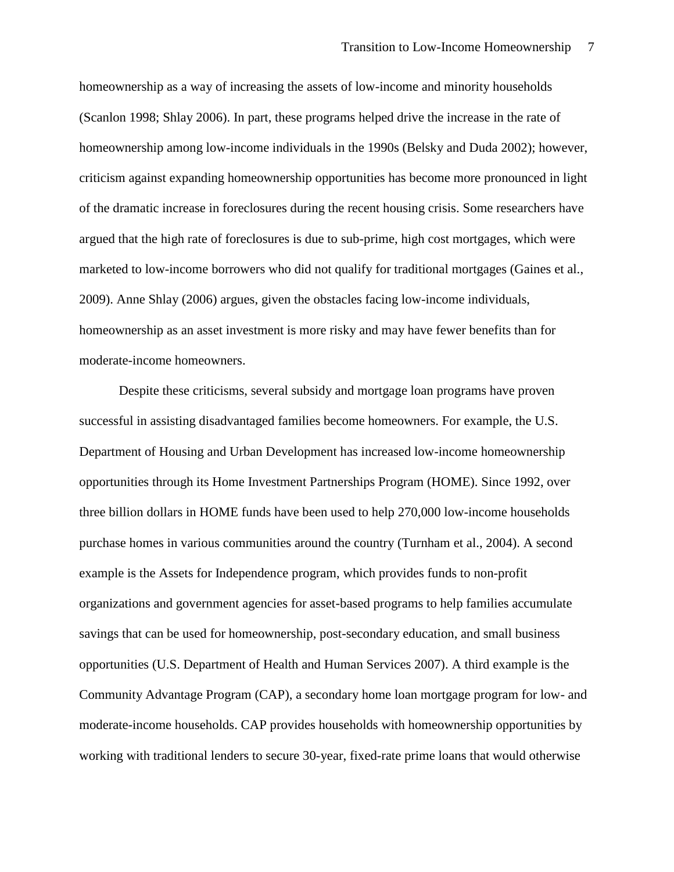homeownership as a way of increasing the assets of low-income and minority households (Scanlon 1998; Shlay 2006). In part, these programs helped drive the increase in the rate of homeownership among low-income individuals in the 1990s (Belsky and Duda 2002); however, criticism against expanding homeownership opportunities has become more pronounced in light of the dramatic increase in foreclosures during the recent housing crisis. Some researchers have argued that the high rate of foreclosures is due to sub-prime, high cost mortgages, which were marketed to low-income borrowers who did not qualify for traditional mortgages (Gaines et al., 2009). Anne Shlay (2006) argues, given the obstacles facing low-income individuals, homeownership as an asset investment is more risky and may have fewer benefits than for moderate-income homeowners.

Despite these criticisms, several subsidy and mortgage loan programs have proven successful in assisting disadvantaged families become homeowners. For example, the U.S. Department of Housing and Urban Development has increased low-income homeownership opportunities through its Home Investment Partnerships Program (HOME). Since 1992, over three billion dollars in HOME funds have been used to help 270,000 low-income households purchase homes in various communities around the country (Turnham et al., 2004). A second example is the Assets for Independence program, which provides funds to non-profit organizations and government agencies for asset-based programs to help families accumulate savings that can be used for homeownership, post-secondary education, and small business opportunities (U.S. Department of Health and Human Services 2007). A third example is the Community Advantage Program (CAP), a secondary home loan mortgage program for low- and moderate-income households. CAP provides households with homeownership opportunities by working with traditional lenders to secure 30-year, fixed-rate prime loans that would otherwise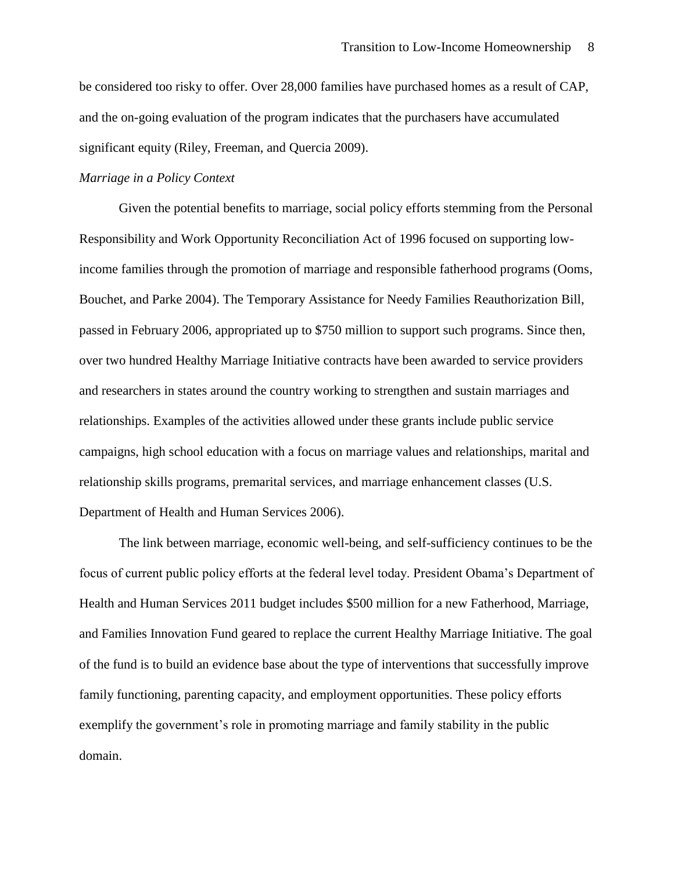be considered too risky to offer. Over 28,000 families have purchased homes as a result of CAP, and the on-going evaluation of the program indicates that the purchasers have accumulated significant equity (Riley, Freeman, and Quercia 2009).

# *Marriage in a Policy Context*

Given the potential benefits to marriage, social policy efforts stemming from the Personal Responsibility and Work Opportunity Reconciliation Act of 1996 focused on supporting lowincome families through the promotion of marriage and responsible fatherhood programs (Ooms, Bouchet, and Parke 2004). The Temporary Assistance for Needy Families Reauthorization Bill, passed in February 2006, appropriated up to \$750 million to support such programs. Since then, over two hundred Healthy Marriage Initiative contracts have been awarded to service providers and researchers in states around the country working to strengthen and sustain marriages and relationships. Examples of the activities allowed under these grants include public service campaigns, high school education with a focus on marriage values and relationships, marital and relationship skills programs, premarital services, and marriage enhancement classes (U.S. Department of Health and Human Services 2006).

The link between marriage, economic well-being, and self-sufficiency continues to be the focus of current public policy efforts at the federal level today. President Obama's Department of Health and Human Services 2011 budget includes \$500 million for a new Fatherhood, Marriage, and Families Innovation Fund geared to replace the current Healthy Marriage Initiative. The goal of the fund is to build an evidence base about the type of interventions that successfully improve family functioning, parenting capacity, and employment opportunities. These policy efforts exemplify the government's role in promoting marriage and family stability in the public domain.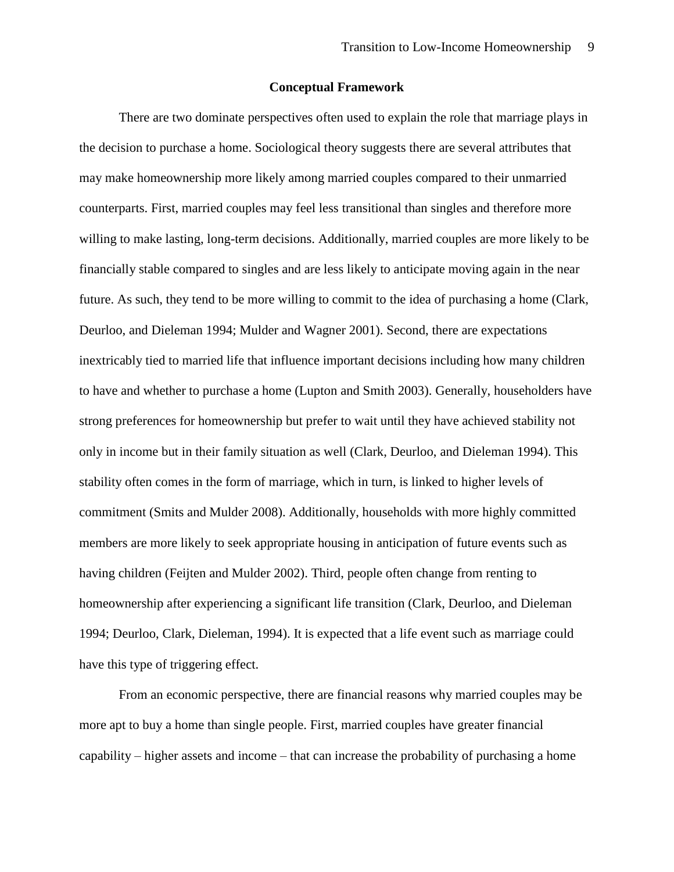#### **Conceptual Framework**

There are two dominate perspectives often used to explain the role that marriage plays in the decision to purchase a home. Sociological theory suggests there are several attributes that may make homeownership more likely among married couples compared to their unmarried counterparts. First, married couples may feel less transitional than singles and therefore more willing to make lasting, long-term decisions. Additionally, married couples are more likely to be financially stable compared to singles and are less likely to anticipate moving again in the near future. As such, they tend to be more willing to commit to the idea of purchasing a home (Clark, Deurloo, and Dieleman 1994; Mulder and Wagner 2001). Second, there are expectations inextricably tied to married life that influence important decisions including how many children to have and whether to purchase a home (Lupton and Smith 2003). Generally, householders have strong preferences for homeownership but prefer to wait until they have achieved stability not only in income but in their family situation as well (Clark, Deurloo, and Dieleman 1994). This stability often comes in the form of marriage, which in turn, is linked to higher levels of commitment (Smits and Mulder 2008). Additionally, households with more highly committed members are more likely to seek appropriate housing in anticipation of future events such as having children (Feijten and Mulder 2002). Third, people often change from renting to homeownership after experiencing a significant life transition (Clark, Deurloo, and Dieleman 1994; Deurloo, Clark, Dieleman, 1994). It is expected that a life event such as marriage could have this type of triggering effect.

From an economic perspective, there are financial reasons why married couples may be more apt to buy a home than single people. First, married couples have greater financial capability – higher assets and income – that can increase the probability of purchasing a home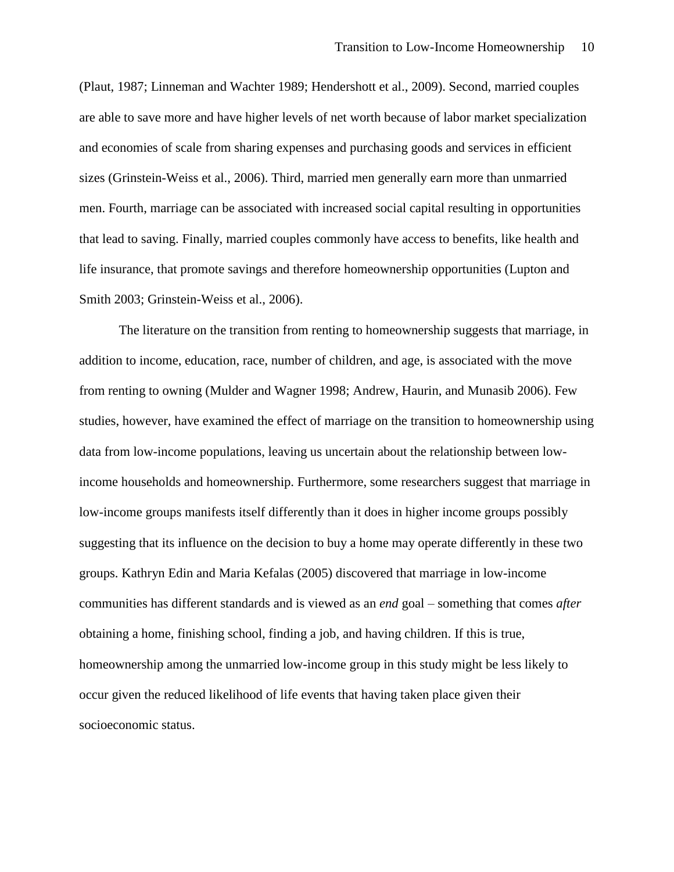(Plaut, 1987; Linneman and Wachter 1989; Hendershott et al., 2009). Second, married couples are able to save more and have higher levels of net worth because of labor market specialization and economies of scale from sharing expenses and purchasing goods and services in efficient sizes (Grinstein-Weiss et al., 2006). Third, married men generally earn more than unmarried men. Fourth, marriage can be associated with increased social capital resulting in opportunities that lead to saving. Finally, married couples commonly have access to benefits, like health and life insurance, that promote savings and therefore homeownership opportunities (Lupton and Smith 2003; Grinstein-Weiss et al., 2006).

The literature on the transition from renting to homeownership suggests that marriage, in addition to income, education, race, number of children, and age, is associated with the move from renting to owning (Mulder and Wagner 1998; Andrew, Haurin, and Munasib 2006). Few studies, however, have examined the effect of marriage on the transition to homeownership using data from low-income populations, leaving us uncertain about the relationship between lowincome households and homeownership. Furthermore, some researchers suggest that marriage in low-income groups manifests itself differently than it does in higher income groups possibly suggesting that its influence on the decision to buy a home may operate differently in these two groups. Kathryn Edin and Maria Kefalas (2005) discovered that marriage in low-income communities has different standards and is viewed as an *end* goal – something that comes *after* obtaining a home, finishing school, finding a job, and having children. If this is true, homeownership among the unmarried low-income group in this study might be less likely to occur given the reduced likelihood of life events that having taken place given their socioeconomic status.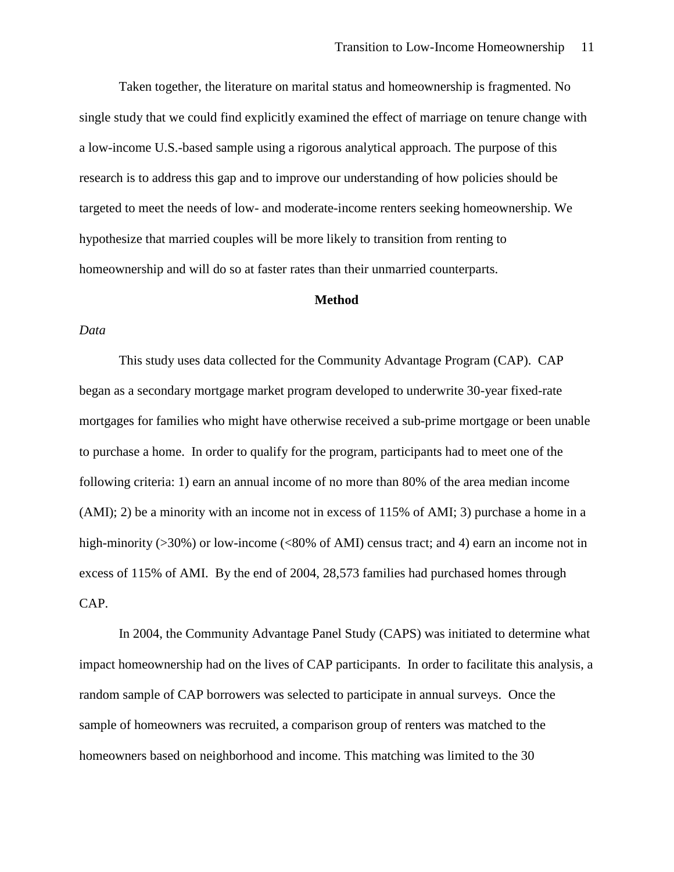Taken together, the literature on marital status and homeownership is fragmented. No single study that we could find explicitly examined the effect of marriage on tenure change with a low-income U.S.-based sample using a rigorous analytical approach. The purpose of this research is to address this gap and to improve our understanding of how policies should be targeted to meet the needs of low- and moderate-income renters seeking homeownership. We hypothesize that married couples will be more likely to transition from renting to homeownership and will do so at faster rates than their unmarried counterparts.

#### **Method**

#### *Data*

This study uses data collected for the Community Advantage Program (CAP). CAP began as a secondary mortgage market program developed to underwrite 30-year fixed-rate mortgages for families who might have otherwise received a sub-prime mortgage or been unable to purchase a home. In order to qualify for the program, participants had to meet one of the following criteria: 1) earn an annual income of no more than 80% of the area median income (AMI); 2) be a minority with an income not in excess of 115% of AMI; 3) purchase a home in a high-minority ( $>30\%$ ) or low-income ( $<80\%$  of AMI) census tract; and 4) earn an income not in excess of 115% of AMI. By the end of 2004, 28,573 families had purchased homes through CAP.

In 2004, the Community Advantage Panel Study (CAPS) was initiated to determine what impact homeownership had on the lives of CAP participants. In order to facilitate this analysis, a random sample of CAP borrowers was selected to participate in annual surveys. Once the sample of homeowners was recruited, a comparison group of renters was matched to the homeowners based on neighborhood and income. This matching was limited to the 30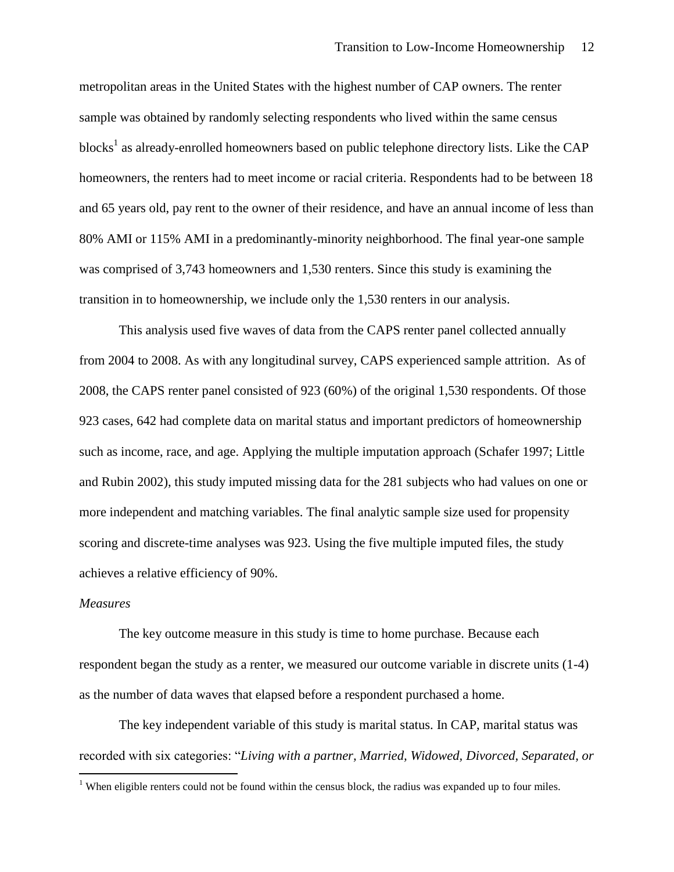metropolitan areas in the United States with the highest number of CAP owners. The renter sample was obtained by randomly selecting respondents who lived within the same census blocks<sup>1</sup> as already-enrolled homeowners based on public telephone directory lists. Like the CAP homeowners, the renters had to meet income or racial criteria. Respondents had to be between 18 and 65 years old, pay rent to the owner of their residence, and have an annual income of less than 80% AMI or 115% AMI in a predominantly-minority neighborhood. The final year-one sample was comprised of 3,743 homeowners and 1,530 renters. Since this study is examining the transition in to homeownership, we include only the 1,530 renters in our analysis.

This analysis used five waves of data from the CAPS renter panel collected annually from 2004 to 2008. As with any longitudinal survey, CAPS experienced sample attrition. As of 2008, the CAPS renter panel consisted of 923 (60%) of the original 1,530 respondents. Of those 923 cases, 642 had complete data on marital status and important predictors of homeownership such as income, race, and age. Applying the multiple imputation approach (Schafer 1997; Little and Rubin 2002), this study imputed missing data for the 281 subjects who had values on one or more independent and matching variables. The final analytic sample size used for propensity scoring and discrete-time analyses was 923. Using the five multiple imputed files, the study achieves a relative efficiency of 90%.

#### *Measures*

 $\overline{a}$ 

The key outcome measure in this study is time to home purchase. Because each respondent began the study as a renter, we measured our outcome variable in discrete units (1-4) as the number of data waves that elapsed before a respondent purchased a home.

The key independent variable of this study is marital status. In CAP, marital status was recorded with six categories: "Living with a partner, Married, Widowed, Divorced, Separated, or

<sup>&</sup>lt;sup>1</sup> When eligible renters could not be found within the census block, the radius was expanded up to four miles.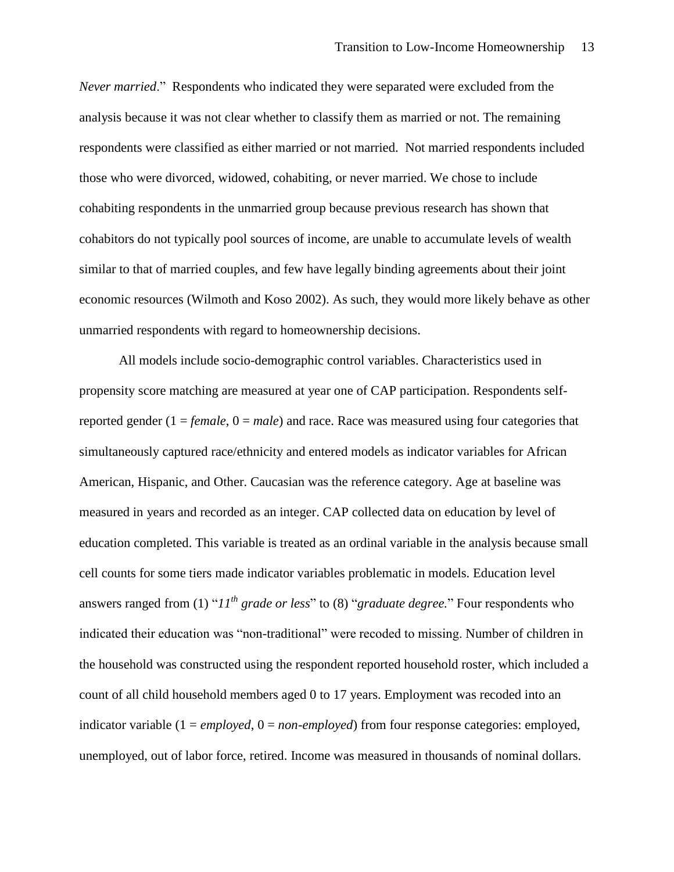*Never married.*" Respondents who indicated they were separated were excluded from the analysis because it was not clear whether to classify them as married or not. The remaining respondents were classified as either married or not married. Not married respondents included those who were divorced, widowed, cohabiting, or never married. We chose to include cohabiting respondents in the unmarried group because previous research has shown that cohabitors do not typically pool sources of income, are unable to accumulate levels of wealth similar to that of married couples, and few have legally binding agreements about their joint economic resources (Wilmoth and Koso 2002). As such, they would more likely behave as other unmarried respondents with regard to homeownership decisions.

All models include socio-demographic control variables. Characteristics used in propensity score matching are measured at year one of CAP participation. Respondents selfreported gender (1 = *female*, 0 = *male*) and race. Race was measured using four categories that simultaneously captured race/ethnicity and entered models as indicator variables for African American, Hispanic, and Other. Caucasian was the reference category. Age at baseline was measured in years and recorded as an integer. CAP collected data on education by level of education completed. This variable is treated as an ordinal variable in the analysis because small cell counts for some tiers made indicator variables problematic in models. Education level answers ranged from (1) " $11^{th}$  *grade or less*" to (8) "*graduate degree*." Four respondents who indicated their education was "non-traditional" were recoded to missing. Number of children in the household was constructed using the respondent reported household roster, which included a count of all child household members aged 0 to 17 years. Employment was recoded into an indicator variable (1 = *employed*, 0 = *non-employed*) from four response categories: employed, unemployed, out of labor force, retired. Income was measured in thousands of nominal dollars.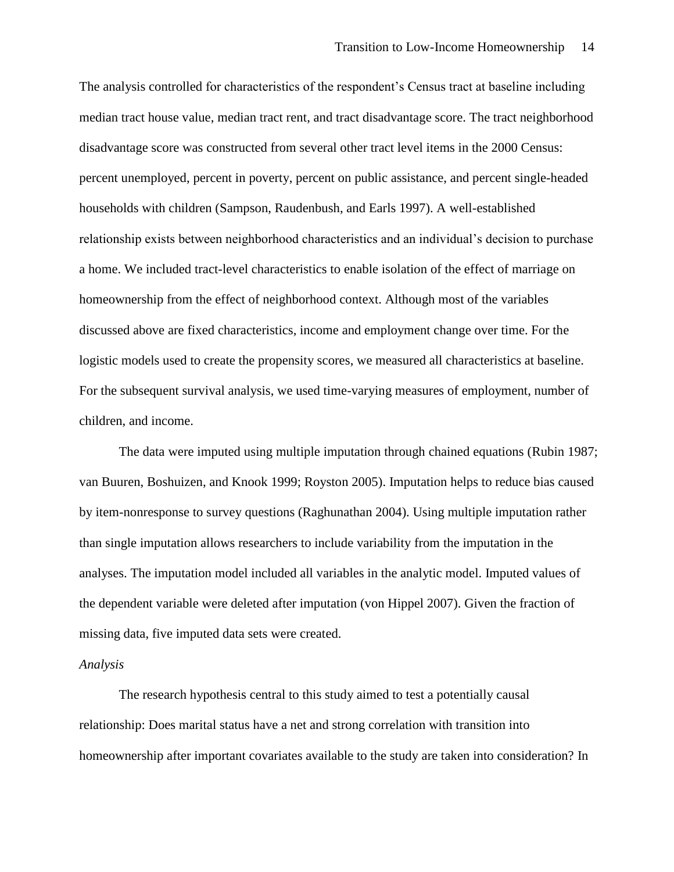The analysis controlled for characteristics of the respondent's Census tract at baseline including median tract house value, median tract rent, and tract disadvantage score. The tract neighborhood disadvantage score was constructed from several other tract level items in the 2000 Census: percent unemployed, percent in poverty, percent on public assistance, and percent single-headed households with children (Sampson, Raudenbush, and Earls 1997). A well-established relationship exists between neighborhood characteristics and an individual's decision to purchase a home. We included tract-level characteristics to enable isolation of the effect of marriage on homeownership from the effect of neighborhood context. Although most of the variables discussed above are fixed characteristics, income and employment change over time. For the logistic models used to create the propensity scores, we measured all characteristics at baseline. For the subsequent survival analysis, we used time-varying measures of employment, number of children, and income.

The data were imputed using multiple imputation through chained equations (Rubin 1987; van Buuren, Boshuizen, and Knook 1999; Royston 2005). Imputation helps to reduce bias caused by item-nonresponse to survey questions (Raghunathan 2004). Using multiple imputation rather than single imputation allows researchers to include variability from the imputation in the analyses. The imputation model included all variables in the analytic model. Imputed values of the dependent variable were deleted after imputation (von Hippel 2007). Given the fraction of missing data, five imputed data sets were created.

## *Analysis*

The research hypothesis central to this study aimed to test a potentially causal relationship: Does marital status have a net and strong correlation with transition into homeownership after important covariates available to the study are taken into consideration? In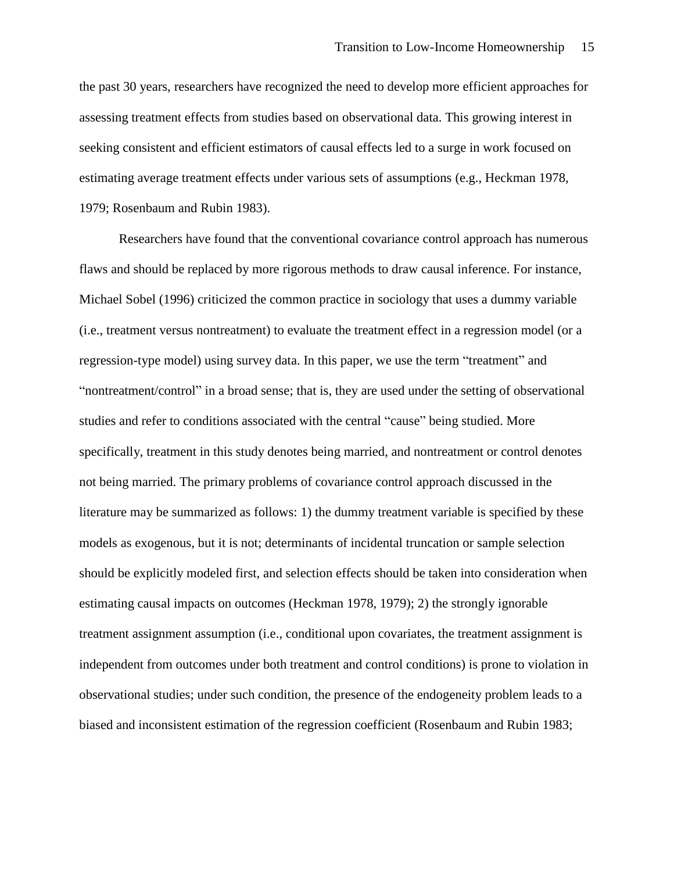the past 30 years, researchers have recognized the need to develop more efficient approaches for assessing treatment effects from studies based on observational data. This growing interest in seeking consistent and efficient estimators of causal effects led to a surge in work focused on estimating average treatment effects under various sets of assumptions (e.g., Heckman 1978, 1979; Rosenbaum and Rubin 1983).

Researchers have found that the conventional covariance control approach has numerous flaws and should be replaced by more rigorous methods to draw causal inference. For instance, Michael Sobel (1996) criticized the common practice in sociology that uses a dummy variable (i.e., treatment versus nontreatment) to evaluate the treatment effect in a regression model (or a regression-type model) using survey data. In this paper, we use the term "treatment" and "nontreatment/control" in a broad sense; that is, they are used under the setting of observational studies and refer to conditions associated with the central "cause" being studied. More specifically, treatment in this study denotes being married, and nontreatment or control denotes not being married. The primary problems of covariance control approach discussed in the literature may be summarized as follows: 1) the dummy treatment variable is specified by these models as exogenous, but it is not; determinants of incidental truncation or sample selection should be explicitly modeled first, and selection effects should be taken into consideration when estimating causal impacts on outcomes (Heckman 1978, 1979); 2) the strongly ignorable treatment assignment assumption (i.e., conditional upon covariates, the treatment assignment is independent from outcomes under both treatment and control conditions) is prone to violation in observational studies; under such condition, the presence of the endogeneity problem leads to a biased and inconsistent estimation of the regression coefficient (Rosenbaum and Rubin 1983;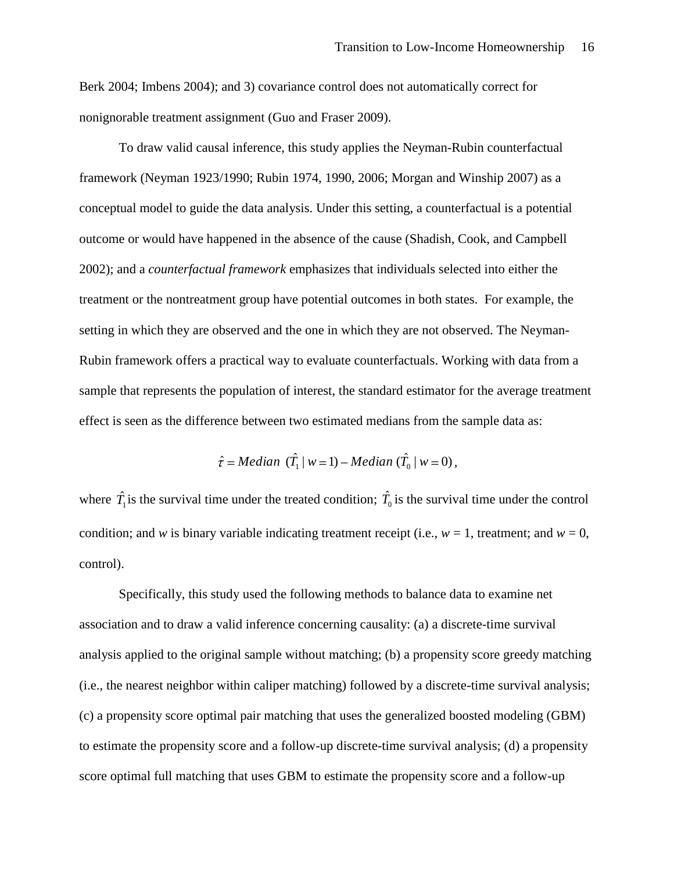Berk 2004; Imbens 2004); and 3) covariance control does not automatically correct for nonignorable treatment assignment (Guo and Fraser 2009).

To draw valid causal inference, this study applies the Neyman-Rubin counterfactual framework (Neyman 1923/1990; Rubin 1974, 1990, 2006; Morgan and Winship 2007) as a conceptual model to guide the data analysis. Under this setting, a counterfactual is a potential outcome or would have happened in the absence of the cause (Shadish, Cook, and Campbell 2002); and a *counterfactual framework* emphasizes that individuals selected into either the treatment or the nontreatment group have potential outcomes in both states. For example, the setting in which they are observed and the one in which they are not observed. The Neyman-Rubin framework offers a practical way to evaluate counterfactuals. Working with data from a sample that represents the population of interest, the standard estimator for the average treatment effect is seen as the difference between two estimated medians from the sample data as:

$$
\hat{\tau} = Median \; (\hat{T}_1 \mid w = 1) - Median \; (\hat{T}_0 \mid w = 0),
$$

where  $\hat{T}_1$  is the survival time under the treated condition;  $\hat{T}_0$  is the survival time under the control condition; and *w* is binary variable indicating treatment receipt (i.e.,  $w = 1$ , treatment; and  $w = 0$ , control).

Specifically, this study used the following methods to balance data to examine net association and to draw a valid inference concerning causality: (a) a discrete-time survival analysis applied to the original sample without matching; (b) a propensity score greedy matching (i.e., the nearest neighbor within caliper matching) followed by a discrete-time survival analysis; (c) a propensity score optimal pair matching that uses the generalized boosted modeling (GBM) to estimate the propensity score and a follow-up discrete-time survival analysis; (d) a propensity score optimal full matching that uses GBM to estimate the propensity score and a follow-up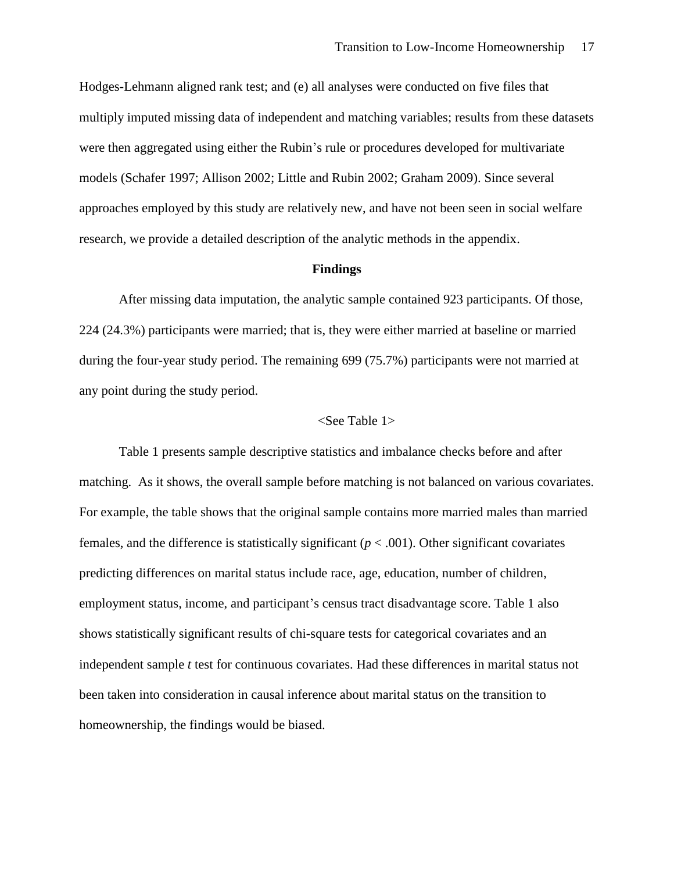Hodges-Lehmann aligned rank test; and (e) all analyses were conducted on five files that multiply imputed missing data of independent and matching variables; results from these datasets were then aggregated using either the Rubin's rule or procedures developed for multivariate models (Schafer 1997; Allison 2002; Little and Rubin 2002; Graham 2009). Since several approaches employed by this study are relatively new, and have not been seen in social welfare research, we provide a detailed description of the analytic methods in the appendix.

#### **Findings**

After missing data imputation, the analytic sample contained 923 participants. Of those, 224 (24.3%) participants were married; that is, they were either married at baseline or married during the four-year study period. The remaining 699 (75.7%) participants were not married at any point during the study period.

### <See Table 1>

Table 1 presents sample descriptive statistics and imbalance checks before and after matching. As it shows, the overall sample before matching is not balanced on various covariates. For example, the table shows that the original sample contains more married males than married females, and the difference is statistically significant  $(p < .001)$ . Other significant covariates predicting differences on marital status include race, age, education, number of children, employment status, income, and participant's census tract disadvantage score. Table 1 also shows statistically significant results of chi-square tests for categorical covariates and an independent sample *t* test for continuous covariates. Had these differences in marital status not been taken into consideration in causal inference about marital status on the transition to homeownership, the findings would be biased.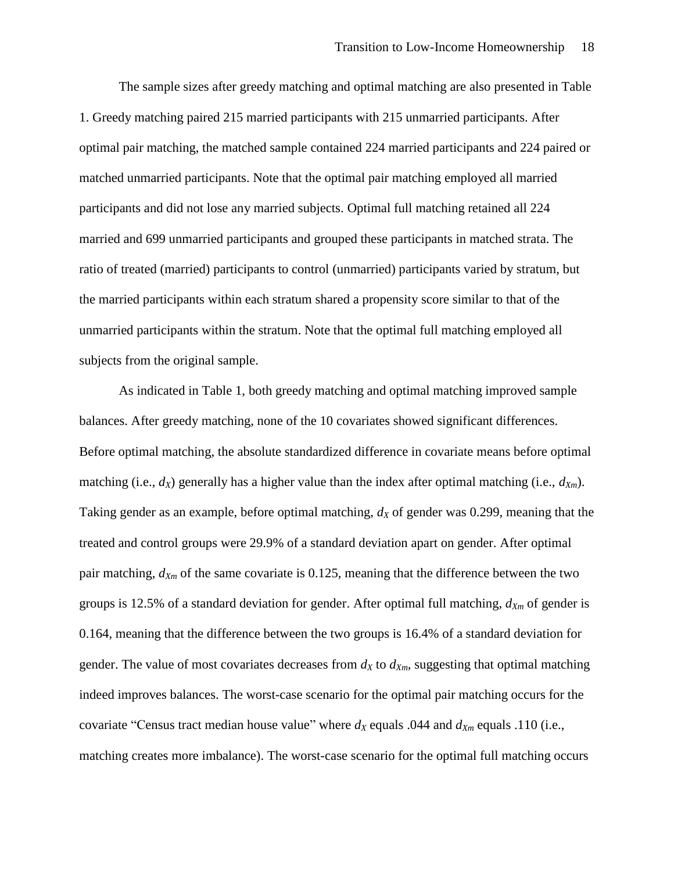The sample sizes after greedy matching and optimal matching are also presented in Table 1. Greedy matching paired 215 married participants with 215 unmarried participants. After optimal pair matching, the matched sample contained 224 married participants and 224 paired or matched unmarried participants. Note that the optimal pair matching employed all married participants and did not lose any married subjects. Optimal full matching retained all 224 married and 699 unmarried participants and grouped these participants in matched strata. The ratio of treated (married) participants to control (unmarried) participants varied by stratum, but the married participants within each stratum shared a propensity score similar to that of the unmarried participants within the stratum. Note that the optimal full matching employed all subjects from the original sample.

As indicated in Table 1, both greedy matching and optimal matching improved sample balances. After greedy matching, none of the 10 covariates showed significant differences. Before optimal matching, the absolute standardized difference in covariate means before optimal matching (i.e.,  $d_X$ ) generally has a higher value than the index after optimal matching (i.e.,  $d_{X_m}$ ). Taking gender as an example, before optimal matching, *d<sup>X</sup>* of gender was 0.299, meaning that the treated and control groups were 29.9% of a standard deviation apart on gender. After optimal pair matching, *dXm* of the same covariate is 0.125, meaning that the difference between the two groups is 12.5% of a standard deviation for gender. After optimal full matching, *dXm* of gender is 0.164, meaning that the difference between the two groups is 16.4% of a standard deviation for gender. The value of most covariates decreases from  $d_X$  to  $d_{X_m}$ , suggesting that optimal matching indeed improves balances. The worst-case scenario for the optimal pair matching occurs for the covariate "Census tract median house value" where  $d_X$  equals .044 and  $d_{Xm}$  equals .110 (i.e., matching creates more imbalance). The worst-case scenario for the optimal full matching occurs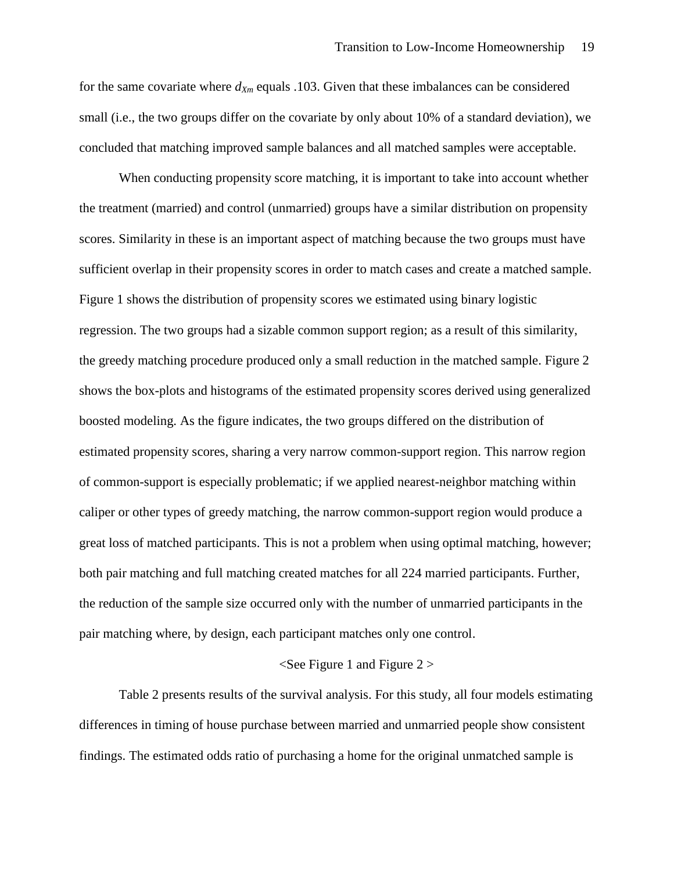for the same covariate where  $d_{Xm}$  equals .103. Given that these imbalances can be considered small (i.e., the two groups differ on the covariate by only about 10% of a standard deviation), we concluded that matching improved sample balances and all matched samples were acceptable.

When conducting propensity score matching, it is important to take into account whether the treatment (married) and control (unmarried) groups have a similar distribution on propensity scores. Similarity in these is an important aspect of matching because the two groups must have sufficient overlap in their propensity scores in order to match cases and create a matched sample. Figure 1 shows the distribution of propensity scores we estimated using binary logistic regression. The two groups had a sizable common support region; as a result of this similarity, the greedy matching procedure produced only a small reduction in the matched sample. Figure 2 shows the box-plots and histograms of the estimated propensity scores derived using generalized boosted modeling. As the figure indicates, the two groups differed on the distribution of estimated propensity scores, sharing a very narrow common-support region. This narrow region of common-support is especially problematic; if we applied nearest-neighbor matching within caliper or other types of greedy matching, the narrow common-support region would produce a great loss of matched participants. This is not a problem when using optimal matching, however; both pair matching and full matching created matches for all 224 married participants. Further, the reduction of the sample size occurred only with the number of unmarried participants in the pair matching where, by design, each participant matches only one control.

#### $\le$ See Figure 1 and Figure 2  $>$

Table 2 presents results of the survival analysis. For this study, all four models estimating differences in timing of house purchase between married and unmarried people show consistent findings. The estimated odds ratio of purchasing a home for the original unmatched sample is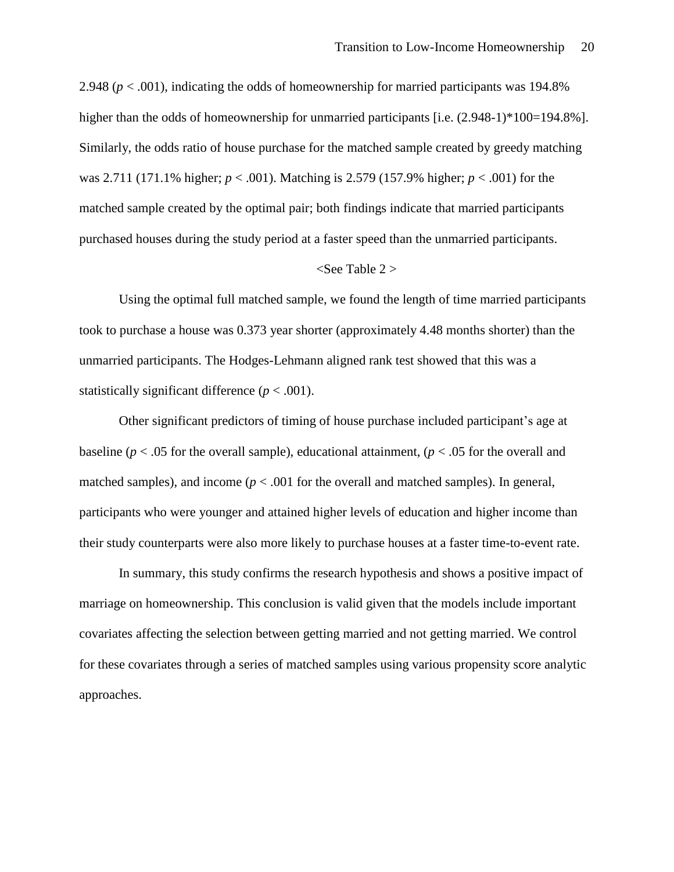2.948 (*p* < .001), indicating the odds of homeownership for married participants was 194.8% higher than the odds of homeownership for unmarried participants [i.e.  $(2.948-1)*100=194.8%$ ]. Similarly, the odds ratio of house purchase for the matched sample created by greedy matching was 2.711 (171.1% higher; *p* < .001). Matching is 2.579 (157.9% higher; *p* < .001) for the matched sample created by the optimal pair; both findings indicate that married participants purchased houses during the study period at a faster speed than the unmarried participants.

#### <See Table 2 >

Using the optimal full matched sample, we found the length of time married participants took to purchase a house was 0.373 year shorter (approximately 4.48 months shorter) than the unmarried participants. The Hodges-Lehmann aligned rank test showed that this was a statistically significant difference  $(p < .001)$ .

Other significant predictors of timing of house purchase included participant's age at baseline ( $p < .05$  for the overall sample), educational attainment, ( $p < .05$  for the overall and matched samples), and income  $(p < .001$  for the overall and matched samples). In general, participants who were younger and attained higher levels of education and higher income than their study counterparts were also more likely to purchase houses at a faster time-to-event rate.

In summary, this study confirms the research hypothesis and shows a positive impact of marriage on homeownership. This conclusion is valid given that the models include important covariates affecting the selection between getting married and not getting married. We control for these covariates through a series of matched samples using various propensity score analytic approaches.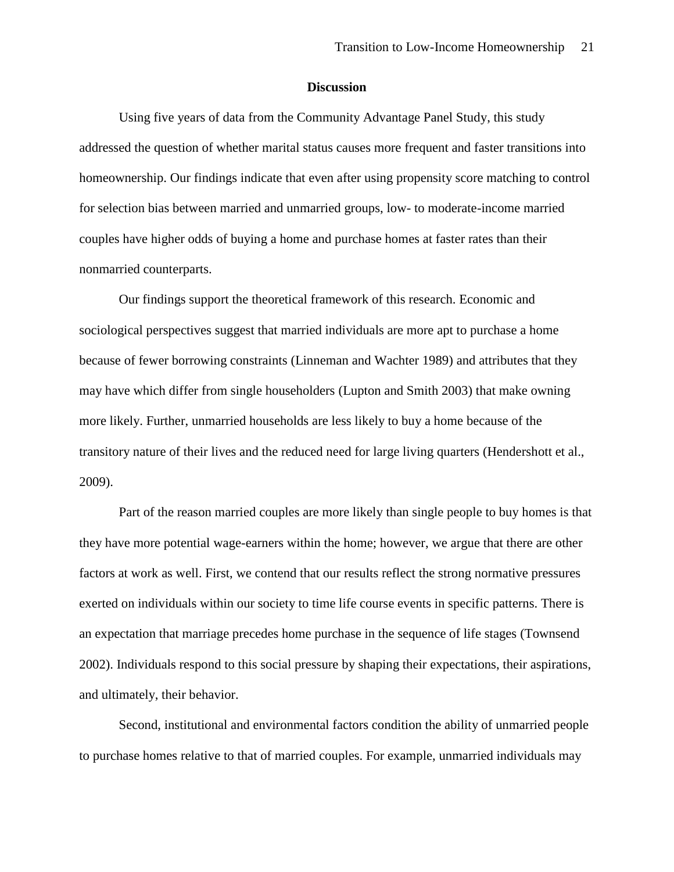# **Discussion**

Using five years of data from the Community Advantage Panel Study, this study addressed the question of whether marital status causes more frequent and faster transitions into homeownership. Our findings indicate that even after using propensity score matching to control for selection bias between married and unmarried groups, low- to moderate-income married couples have higher odds of buying a home and purchase homes at faster rates than their nonmarried counterparts.

Our findings support the theoretical framework of this research. Economic and sociological perspectives suggest that married individuals are more apt to purchase a home because of fewer borrowing constraints (Linneman and Wachter 1989) and attributes that they may have which differ from single householders (Lupton and Smith 2003) that make owning more likely. Further, unmarried households are less likely to buy a home because of the transitory nature of their lives and the reduced need for large living quarters (Hendershott et al., 2009).

Part of the reason married couples are more likely than single people to buy homes is that they have more potential wage-earners within the home; however, we argue that there are other factors at work as well. First, we contend that our results reflect the strong normative pressures exerted on individuals within our society to time life course events in specific patterns. There is an expectation that marriage precedes home purchase in the sequence of life stages (Townsend 2002). Individuals respond to this social pressure by shaping their expectations, their aspirations, and ultimately, their behavior.

Second, institutional and environmental factors condition the ability of unmarried people to purchase homes relative to that of married couples. For example, unmarried individuals may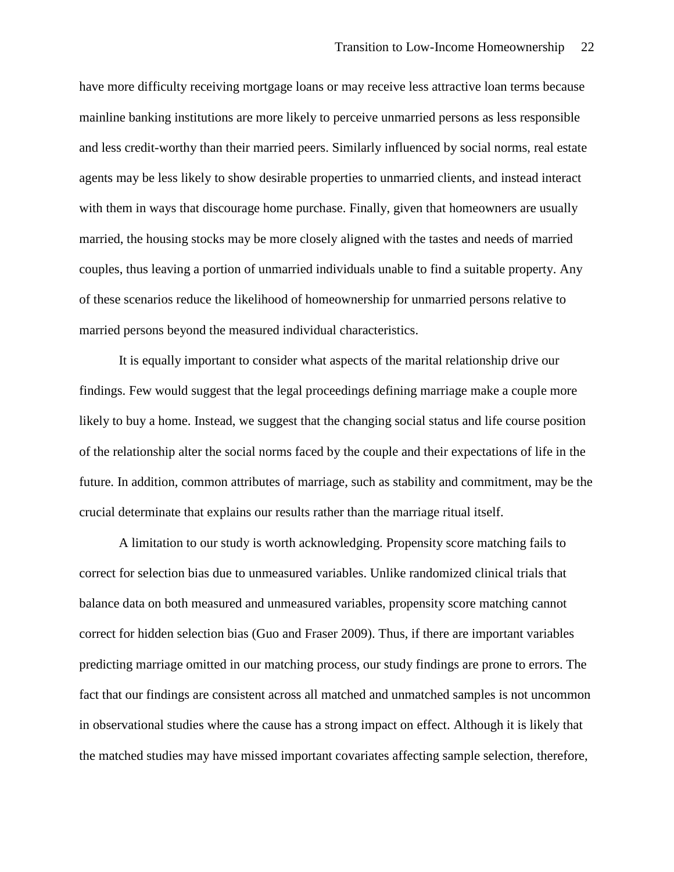have more difficulty receiving mortgage loans or may receive less attractive loan terms because mainline banking institutions are more likely to perceive unmarried persons as less responsible and less credit-worthy than their married peers. Similarly influenced by social norms, real estate agents may be less likely to show desirable properties to unmarried clients, and instead interact with them in ways that discourage home purchase. Finally, given that homeowners are usually married, the housing stocks may be more closely aligned with the tastes and needs of married couples, thus leaving a portion of unmarried individuals unable to find a suitable property. Any of these scenarios reduce the likelihood of homeownership for unmarried persons relative to married persons beyond the measured individual characteristics.

It is equally important to consider what aspects of the marital relationship drive our findings. Few would suggest that the legal proceedings defining marriage make a couple more likely to buy a home. Instead, we suggest that the changing social status and life course position of the relationship alter the social norms faced by the couple and their expectations of life in the future. In addition, common attributes of marriage, such as stability and commitment, may be the crucial determinate that explains our results rather than the marriage ritual itself.

A limitation to our study is worth acknowledging. Propensity score matching fails to correct for selection bias due to unmeasured variables. Unlike randomized clinical trials that balance data on both measured and unmeasured variables, propensity score matching cannot correct for hidden selection bias (Guo and Fraser 2009). Thus, if there are important variables predicting marriage omitted in our matching process, our study findings are prone to errors. The fact that our findings are consistent across all matched and unmatched samples is not uncommon in observational studies where the cause has a strong impact on effect. Although it is likely that the matched studies may have missed important covariates affecting sample selection, therefore,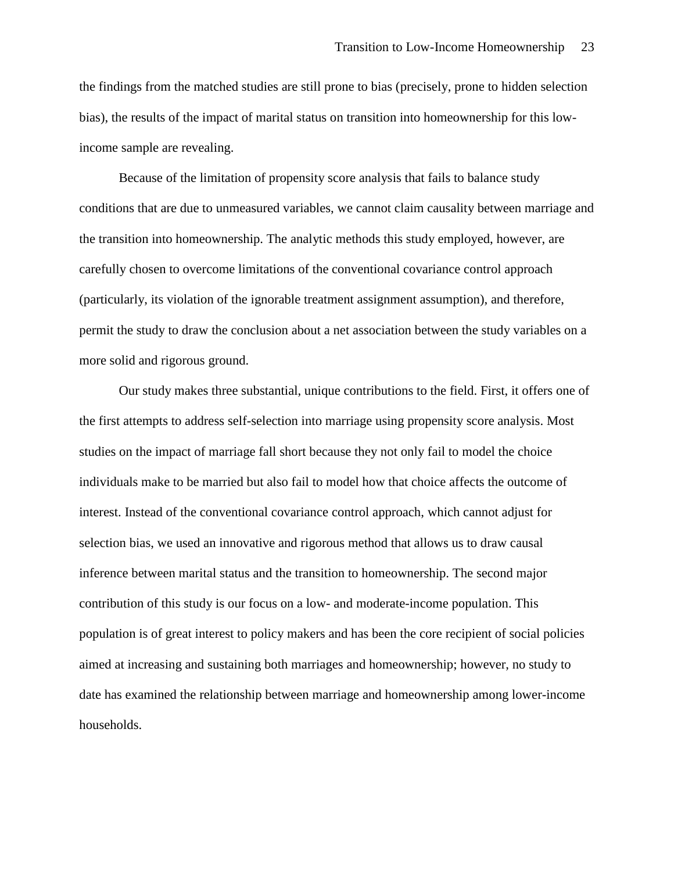the findings from the matched studies are still prone to bias (precisely, prone to hidden selection bias), the results of the impact of marital status on transition into homeownership for this lowincome sample are revealing.

Because of the limitation of propensity score analysis that fails to balance study conditions that are due to unmeasured variables, we cannot claim causality between marriage and the transition into homeownership. The analytic methods this study employed, however, are carefully chosen to overcome limitations of the conventional covariance control approach (particularly, its violation of the ignorable treatment assignment assumption), and therefore, permit the study to draw the conclusion about a net association between the study variables on a more solid and rigorous ground.

Our study makes three substantial, unique contributions to the field. First, it offers one of the first attempts to address self-selection into marriage using propensity score analysis. Most studies on the impact of marriage fall short because they not only fail to model the choice individuals make to be married but also fail to model how that choice affects the outcome of interest. Instead of the conventional covariance control approach, which cannot adjust for selection bias, we used an innovative and rigorous method that allows us to draw causal inference between marital status and the transition to homeownership. The second major contribution of this study is our focus on a low- and moderate-income population. This population is of great interest to policy makers and has been the core recipient of social policies aimed at increasing and sustaining both marriages and homeownership; however, no study to date has examined the relationship between marriage and homeownership among lower-income households.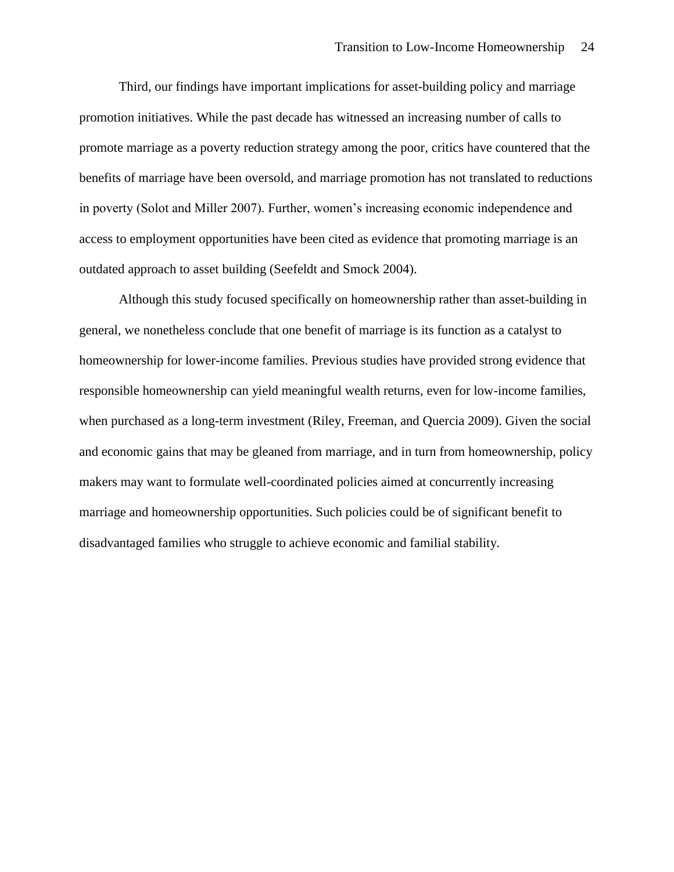Third, our findings have important implications for asset-building policy and marriage promotion initiatives. While the past decade has witnessed an increasing number of calls to promote marriage as a poverty reduction strategy among the poor, critics have countered that the benefits of marriage have been oversold, and marriage promotion has not translated to reductions in poverty (Solot and Miller 2007). Further, women's increasing economic independence and access to employment opportunities have been cited as evidence that promoting marriage is an outdated approach to asset building (Seefeldt and Smock 2004).

Although this study focused specifically on homeownership rather than asset-building in general, we nonetheless conclude that one benefit of marriage is its function as a catalyst to homeownership for lower-income families. Previous studies have provided strong evidence that responsible homeownership can yield meaningful wealth returns, even for low-income families, when purchased as a long-term investment (Riley, Freeman, and Quercia 2009). Given the social and economic gains that may be gleaned from marriage, and in turn from homeownership, policy makers may want to formulate well-coordinated policies aimed at concurrently increasing marriage and homeownership opportunities. Such policies could be of significant benefit to disadvantaged families who struggle to achieve economic and familial stability.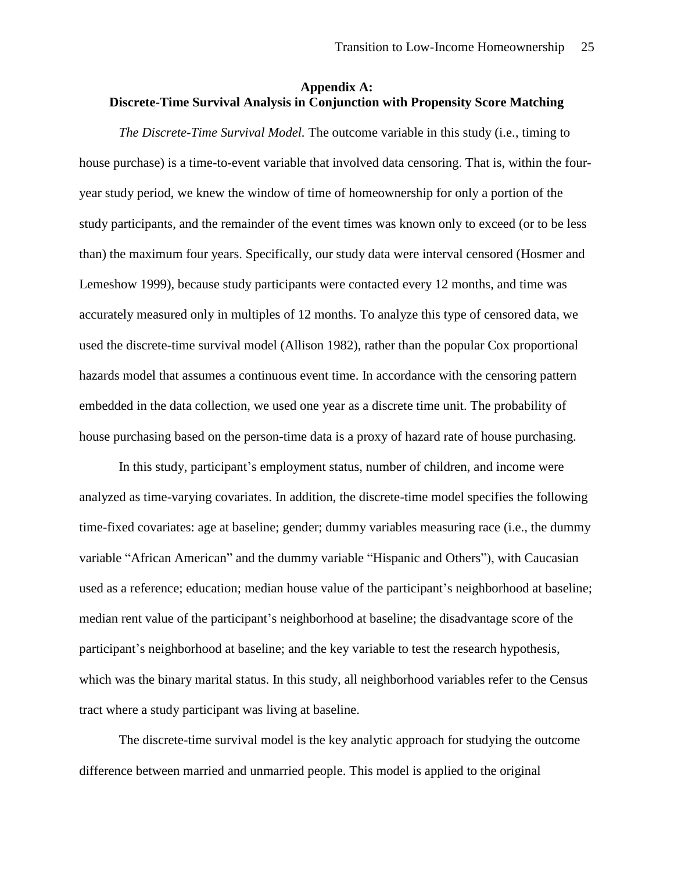# **Appendix A: Discrete-Time Survival Analysis in Conjunction with Propensity Score Matching**

*The Discrete-Time Survival Model.* The outcome variable in this study (i.e., timing to house purchase) is a time-to-event variable that involved data censoring. That is, within the fouryear study period, we knew the window of time of homeownership for only a portion of the study participants, and the remainder of the event times was known only to exceed (or to be less than) the maximum four years. Specifically, our study data were interval censored (Hosmer and Lemeshow 1999), because study participants were contacted every 12 months, and time was accurately measured only in multiples of 12 months. To analyze this type of censored data, we used the discrete-time survival model (Allison 1982), rather than the popular Cox proportional hazards model that assumes a continuous event time. In accordance with the censoring pattern embedded in the data collection, we used one year as a discrete time unit. The probability of house purchasing based on the person-time data is a proxy of hazard rate of house purchasing.

In this study, participant's employment status, number of children, and income were analyzed as time-varying covariates. In addition, the discrete-time model specifies the following time-fixed covariates: age at baseline; gender; dummy variables measuring race (i.e., the dummy variable "African American" and the dummy variable "Hispanic and Others"), with Caucasian used as a reference; education; median house value of the participant's neighborhood at baseline; median rent value of the participant's neighborhood at baseline; the disadvantage score of the participant's neighborhood at baseline; and the key variable to test the research hypothesis, which was the binary marital status. In this study, all neighborhood variables refer to the Census tract where a study participant was living at baseline.

The discrete-time survival model is the key analytic approach for studying the outcome difference between married and unmarried people. This model is applied to the original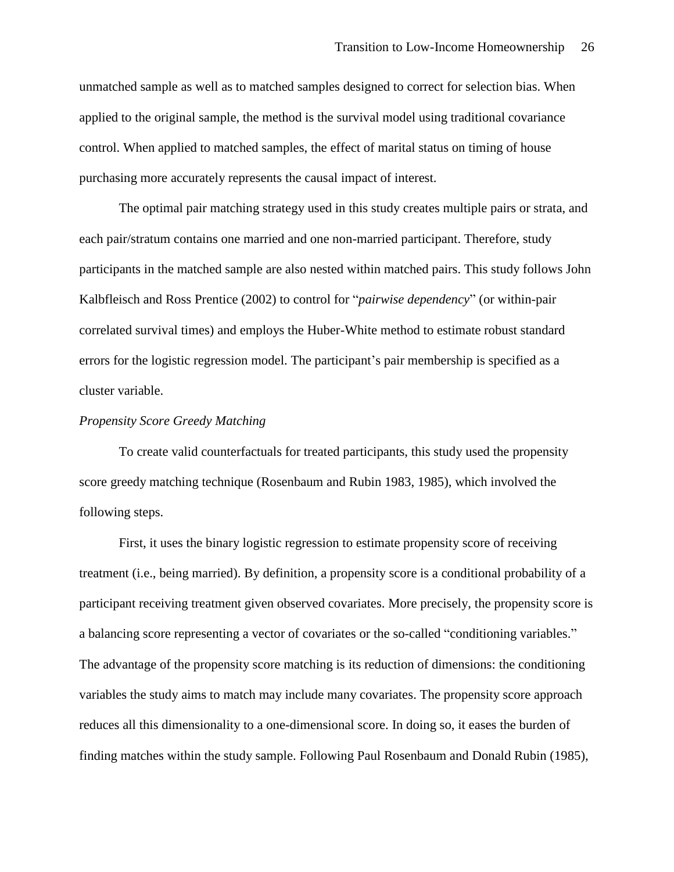unmatched sample as well as to matched samples designed to correct for selection bias. When applied to the original sample, the method is the survival model using traditional covariance control. When applied to matched samples, the effect of marital status on timing of house purchasing more accurately represents the causal impact of interest.

The optimal pair matching strategy used in this study creates multiple pairs or strata, and each pair/stratum contains one married and one non-married participant. Therefore, study participants in the matched sample are also nested within matched pairs. This study follows John Kalbfleisch and Ross Prentice (2002) to control for "*pairwise dependency*" (or within-pair correlated survival times) and employs the Huber-White method to estimate robust standard errors for the logistic regression model. The participant's pair membership is specified as a cluster variable.

# *Propensity Score Greedy Matching*

To create valid counterfactuals for treated participants, this study used the propensity score greedy matching technique (Rosenbaum and Rubin 1983, 1985), which involved the following steps.

First, it uses the binary logistic regression to estimate propensity score of receiving treatment (i.e., being married). By definition, a propensity score is a conditional probability of a participant receiving treatment given observed covariates. More precisely, the propensity score is a balancing score representing a vector of covariates or the so-called "conditioning variables." The advantage of the propensity score matching is its reduction of dimensions: the conditioning variables the study aims to match may include many covariates. The propensity score approach reduces all this dimensionality to a one-dimensional score. In doing so, it eases the burden of finding matches within the study sample. Following Paul Rosenbaum and Donald Rubin (1985),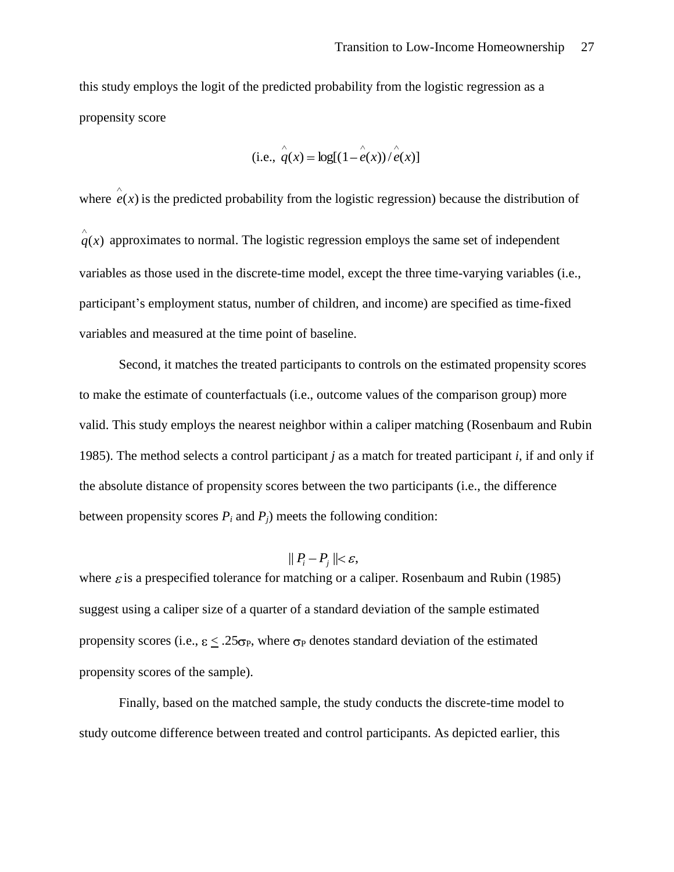this study employs the logit of the predicted probability from the logistic regression as a propensity score

(i.e., 
$$
\hat{q}(x) = \log[(1 - \hat{e}(x))/\hat{e}(x)]
$$

where  $e(x)$  is the predicted probability from the logistic regression) because the distribution of  $q(x)$  approximates to normal. The logistic regression employs the same set of independent variables as those used in the discrete-time model, except the three time-varying variables (i.e., participant's employment status, number of children, and income) are specified as time-fixed variables and measured at the time point of baseline.

Second, it matches the treated participants to controls on the estimated propensity scores to make the estimate of counterfactuals (i.e., outcome values of the comparison group) more valid. This study employs the nearest neighbor within a caliper matching (Rosenbaum and Rubin 1985). The method selects a control participant *j* as a match for treated participant *i*, if and only if the absolute distance of propensity scores between the two participants (i.e., the difference between propensity scores  $P_i$  and  $P_j$ ) meets the following condition:

$$
\parallel P_i - P_j \parallel < \varepsilon,
$$

where  $\varepsilon$  is a prespecified tolerance for matching or a caliper. Rosenbaum and Rubin (1985) suggest using a caliper size of a quarter of a standard deviation of the sample estimated propensity scores (i.e.,  $\epsilon < .25\sigma_P$ , where  $\sigma_P$  denotes standard deviation of the estimated propensity scores of the sample).

Finally, based on the matched sample, the study conducts the discrete-time model to study outcome difference between treated and control participants. As depicted earlier, this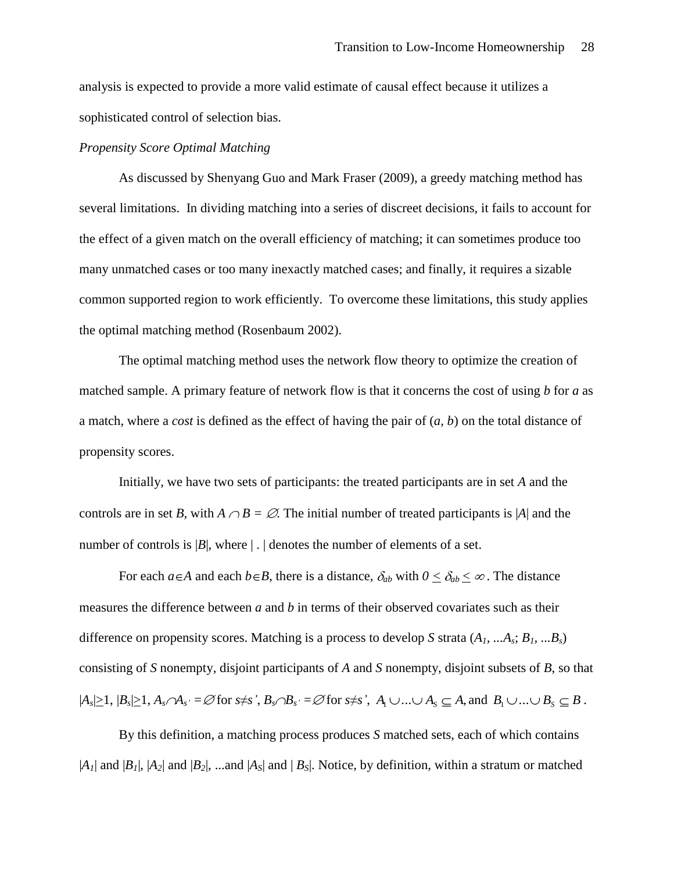analysis is expected to provide a more valid estimate of causal effect because it utilizes a sophisticated control of selection bias.

# *Propensity Score Optimal Matching*

As discussed by Shenyang Guo and Mark Fraser (2009), a greedy matching method has several limitations. In dividing matching into a series of discreet decisions, it fails to account for the effect of a given match on the overall efficiency of matching; it can sometimes produce too many unmatched cases or too many inexactly matched cases; and finally, it requires a sizable common supported region to work efficiently. To overcome these limitations, this study applies the optimal matching method (Rosenbaum 2002).

The optimal matching method uses the network flow theory to optimize the creation of matched sample. A primary feature of network flow is that it concerns the cost of using *b* for *a* as a match, where a *cost* is defined as the effect of having the pair of (*a, b*) on the total distance of propensity scores.

Initially, we have two sets of participants: the treated participants are in set *A* and the controls are in set *B*, with  $A \cap B = \emptyset$ . The initial number of treated participants is |*A*| and the number of controls is  $|B|$ , where  $| \cdot |$  denotes the number of elements of a set.

For each  $a \in A$  and each  $b \in B$ , there is a distance,  $\delta_{ab}$  with  $0 \leq \delta_{ab} \leq \infty$ . The distance measures the difference between *a* and *b* in terms of their observed covariates such as their difference on propensity scores. Matching is a process to develop *S* strata (*A1, ...As*; *B1, ...Bs*) consisting of *S* nonempty, disjoint participants of *A* and *S* nonempty, disjoint subsets of *B*, so that  $|A_s|\geq 1, |B_s|\geq 1, A_s \cap A_{s'} = \emptyset$  for  $s \neq s', B_s \cap B_{s'} = \emptyset$  for  $s \neq s', A_1 \cup ... \cup A_s \subseteq A$ , and  $B_1 \cup ... \cup B_s \subseteq B$ .

By this definition, a matching process produces *S* matched sets, each of which contains  $|A_1|$  and  $|B_1|$ ,  $|A_2|$  and  $|B_2|$ , ...and  $|A_5|$  and  $|B_5|$ . Notice, by definition, within a stratum or matched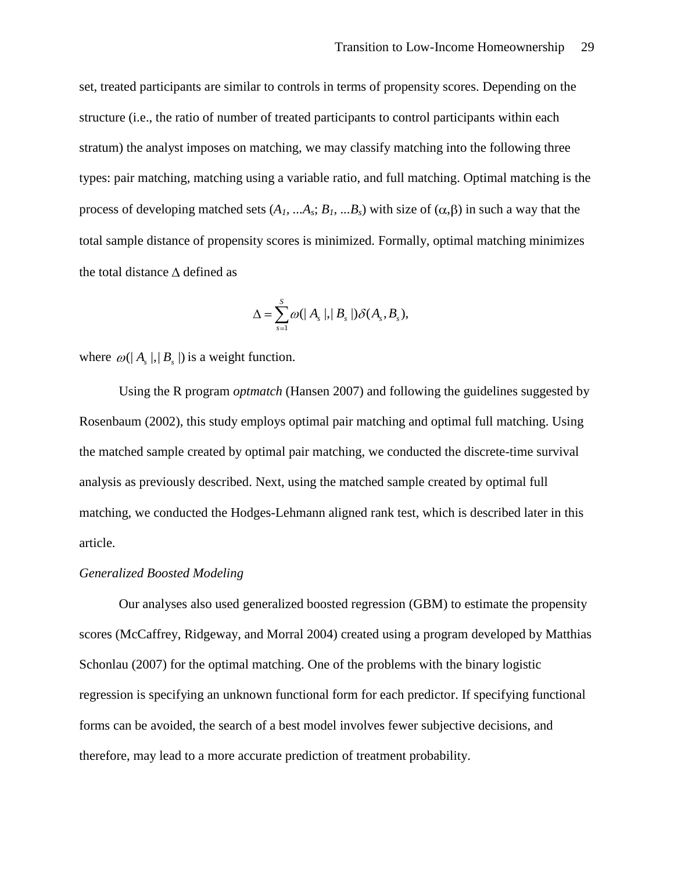set, treated participants are similar to controls in terms of propensity scores. Depending on the structure (i.e., the ratio of number of treated participants to control participants within each stratum) the analyst imposes on matching, we may classify matching into the following three types: pair matching, matching using a variable ratio, and full matching. Optimal matching is the process of developing matched sets  $(A_1, \ldots, A_s; B_1, \ldots, B_s)$  with size of  $(\alpha, \beta)$  in such a way that the total sample distance of propensity scores is minimized. Formally, optimal matching minimizes the total distance  $\Delta$  defined as

$$
\Delta = \sum_{s=1}^S \varpi(|\ A_s|,|\ B_s|) \delta(A_s,B_s),
$$

where  $\omega(|A_s|,|B_s|)$  is a weight function.

Using the R program *optmatch* (Hansen 2007) and following the guidelines suggested by Rosenbaum (2002), this study employs optimal pair matching and optimal full matching. Using the matched sample created by optimal pair matching, we conducted the discrete-time survival analysis as previously described. Next, using the matched sample created by optimal full matching, we conducted the Hodges-Lehmann aligned rank test, which is described later in this article.

#### *Generalized Boosted Modeling*

Our analyses also used generalized boosted regression (GBM) to estimate the propensity scores (McCaffrey, Ridgeway, and Morral 2004) created using a program developed by Matthias Schonlau (2007) for the optimal matching. One of the problems with the binary logistic regression is specifying an unknown functional form for each predictor. If specifying functional forms can be avoided, the search of a best model involves fewer subjective decisions, and therefore, may lead to a more accurate prediction of treatment probability.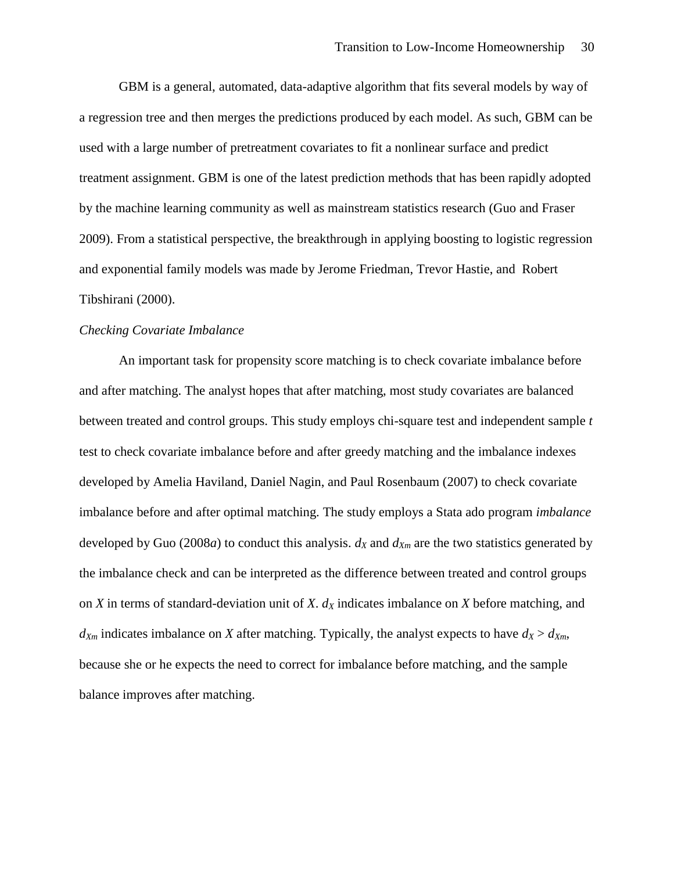GBM is a general, automated, data-adaptive algorithm that fits several models by way of a regression tree and then merges the predictions produced by each model. As such, GBM can be used with a large number of pretreatment covariates to fit a nonlinear surface and predict treatment assignment. GBM is one of the latest prediction methods that has been rapidly adopted by the machine learning community as well as mainstream statistics research (Guo and Fraser 2009). From a statistical perspective, the breakthrough in applying boosting to logistic regression and exponential family models was made by Jerome Friedman, Trevor Hastie, and Robert Tibshirani (2000).

#### *Checking Covariate Imbalance*

An important task for propensity score matching is to check covariate imbalance before and after matching. The analyst hopes that after matching, most study covariates are balanced between treated and control groups. This study employs chi-square test and independent sample *t* test to check covariate imbalance before and after greedy matching and the imbalance indexes developed by Amelia Haviland, Daniel Nagin, and Paul Rosenbaum (2007) to check covariate imbalance before and after optimal matching. The study employs a Stata ado program *imbalance* developed by Guo (2008*a*) to conduct this analysis.  $d_X$  and  $d_{X_m}$  are the two statistics generated by the imbalance check and can be interpreted as the difference between treated and control groups on *X* in terms of standard-deviation unit of *X*. *d<sup>X</sup>* indicates imbalance on *X* before matching, and  $d_{Xm}$  indicates imbalance on *X* after matching. Typically, the analyst expects to have  $d_X > d_{Xm}$ , because she or he expects the need to correct for imbalance before matching, and the sample balance improves after matching.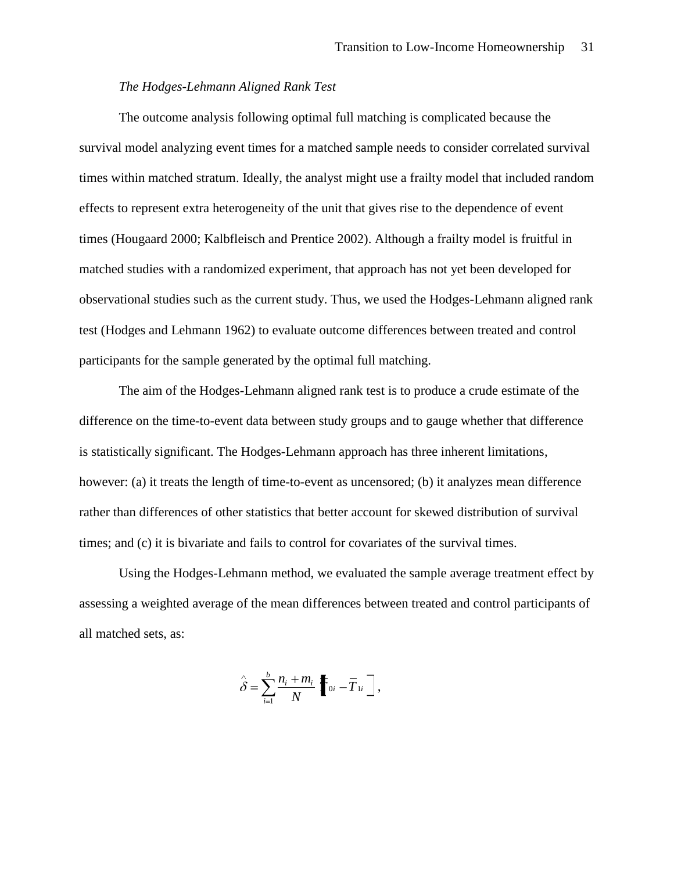# *The Hodges-Lehmann Aligned Rank Test*

The outcome analysis following optimal full matching is complicated because the survival model analyzing event times for a matched sample needs to consider correlated survival times within matched stratum. Ideally, the analyst might use a frailty model that included random effects to represent extra heterogeneity of the unit that gives rise to the dependence of event times (Hougaard 2000; Kalbfleisch and Prentice 2002). Although a frailty model is fruitful in matched studies with a randomized experiment, that approach has not yet been developed for observational studies such as the current study. Thus, we used the Hodges-Lehmann aligned rank test (Hodges and Lehmann 1962) to evaluate outcome differences between treated and control participants for the sample generated by the optimal full matching.

The aim of the Hodges-Lehmann aligned rank test is to produce a crude estimate of the difference on the time-to-event data between study groups and to gauge whether that difference is statistically significant. The Hodges-Lehmann approach has three inherent limitations, however: (a) it treats the length of time-to-event as uncensored; (b) it analyzes mean difference rather than differences of other statistics that better account for skewed distribution of survival times; and (c) it is bivariate and fails to control for covariates of the survival times.

Using the Hodges-Lehmann method, we evaluated the sample average treatment effect by assessing a weighted average of the mean differences between treated and control participants of all matched sets, as:

$$
\hat{\delta} = \sum_{i=1}^b \frac{n_i + m_i}{N} \left[ \overline{r}_{0i} - \overline{T}_{1i} \right],
$$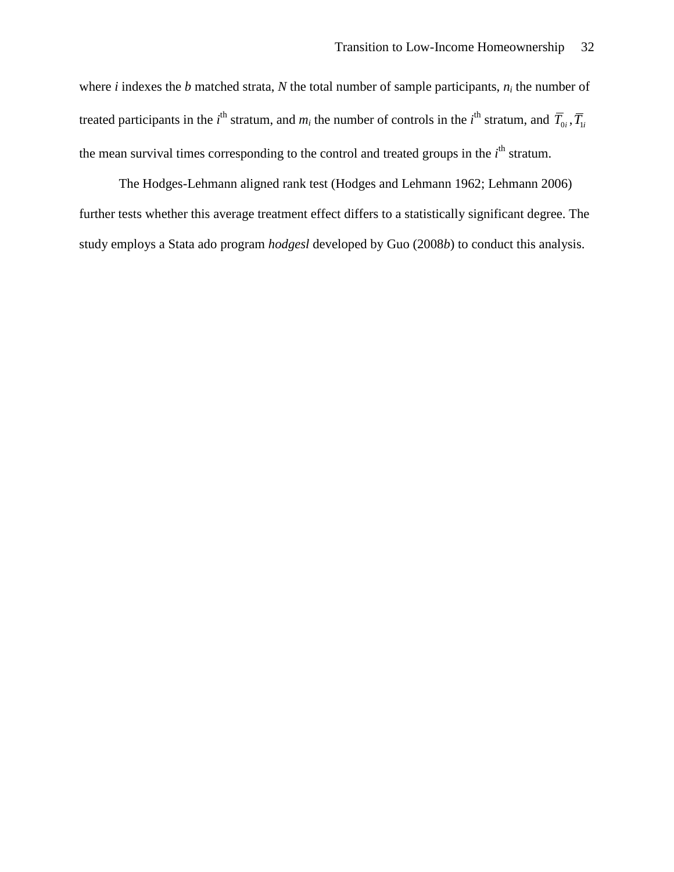where *i* indexes the *b* matched strata, *N* the total number of sample participants,  $n_i$  the number of treated participants in the *i*<sup>th</sup> stratum, and  $m_i$  the number of controls in the *i*<sup>th</sup> stratum, and  $\overline{T}_{0i}$ ,  $\overline{T}_{1i}$ the mean survival times corresponding to the control and treated groups in the *i*<sup>th</sup> stratum.

The Hodges-Lehmann aligned rank test (Hodges and Lehmann 1962; Lehmann 2006) further tests whether this average treatment effect differs to a statistically significant degree. The study employs a Stata ado program *hodgesl* developed by Guo (2008*b*) to conduct this analysis.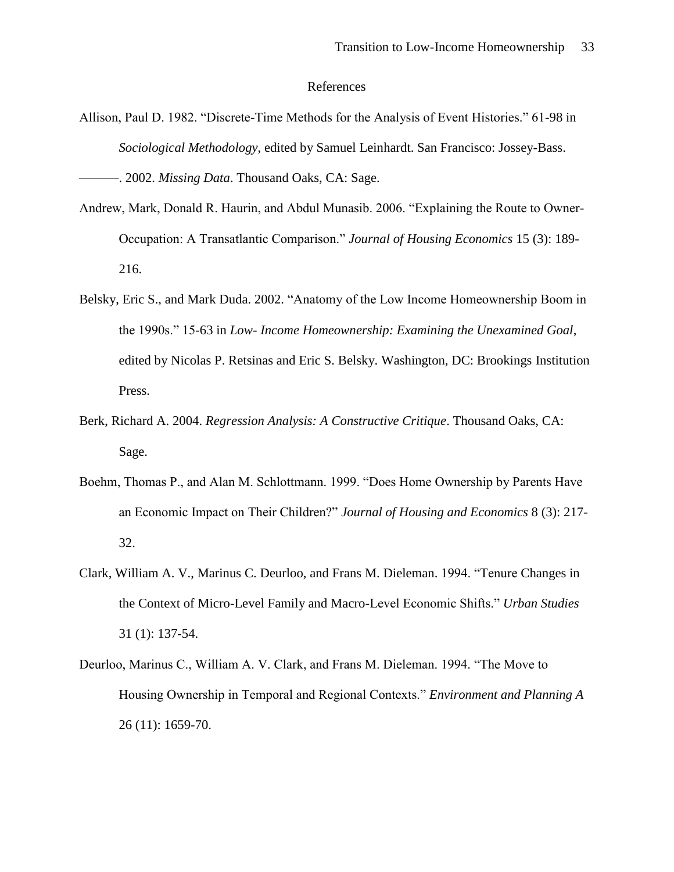#### References

Allison, Paul D. 1982. "Discrete-Time Methods for the Analysis of Event Histories." 61-98 in *Sociological Methodology*, edited by Samuel Leinhardt. San Francisco: Jossey-Bass.

———. 2002. *Missing Data*. Thousand Oaks, CA: Sage.

- Andrew, Mark, Donald R. Haurin, and Abdul Munasib. 2006. "Explaining the Route to Owner-Occupation: A Transatlantic Comparison.‖ *Journal of Housing Economics* 15 (3): 189- 216.
- Belsky, Eric S., and Mark Duda. 2002. "Anatomy of the Low Income Homeownership Boom in the 1990s.‖ 15-63 in *Low- Income Homeownership: Examining the Unexamined Goal*, edited by Nicolas P. Retsinas and Eric S. Belsky. Washington, DC: Brookings Institution Press.
- Berk, Richard A. 2004. *Regression Analysis: A Constructive Critique*. Thousand Oaks, CA: Sage.
- Boehm, Thomas P., and Alan M. Schlottmann. 1999. "Does Home Ownership by Parents Have an Economic Impact on Their Children?‖ *Journal of Housing and Economics* 8 (3): 217- 32.
- Clark, William A. V., Marinus C. Deurloo, and Frans M. Dieleman. 1994. "Tenure Changes in the Context of Micro-Level Family and Macro-Level Economic Shifts.‖ *Urban Studies* 31 (1): 137-54.
- Deurloo, Marinus C., William A. V. Clark, and Frans M. Dieleman. 1994. "The Move to Housing Ownership in Temporal and Regional Contexts." *Environment and Planning A* 26 (11): 1659-70.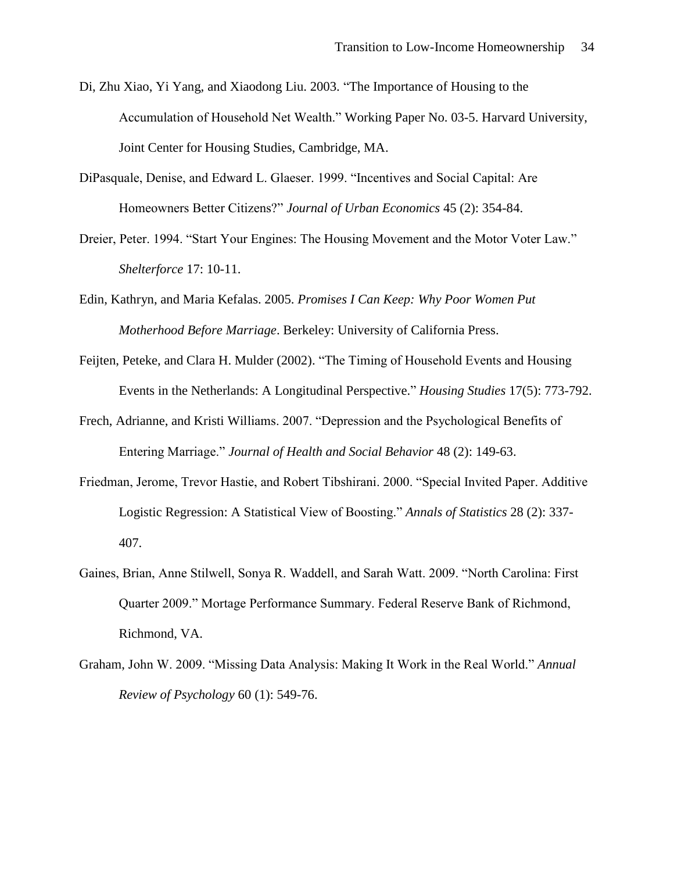- Di, Zhu Xiao, Yi Yang, and Xiaodong Liu. 2003. "The Importance of Housing to the Accumulation of Household Net Wealth." Working Paper No. 03-5. Harvard University, Joint Center for Housing Studies, Cambridge, MA.
- DiPasquale, Denise, and Edward L. Glaeser. 1999. "Incentives and Social Capital: Are Homeowners Better Citizens?" *Journal of Urban Economics* 45 (2): 354-84.
- Dreier, Peter. 1994. "Start Your Engines: The Housing Movement and the Motor Voter Law." *Shelterforce* 17: 10-11.
- Edin, Kathryn, and Maria Kefalas. 2005. *Promises I Can Keep: Why Poor Women Put Motherhood Before Marriage*. Berkeley: University of California Press.
- Feijten, Peteke, and Clara H. Mulder (2002). "The Timing of Household Events and Housing Events in the Netherlands: A Longitudinal Perspective." *Housing Studies* 17(5): 773-792.
- Frech, Adrianne, and Kristi Williams. 2007. "Depression and the Psychological Benefits of Entering Marriage.‖ *Journal of Health and Social Behavior* 48 (2): 149-63.
- Friedman, Jerome, Trevor Hastie, and Robert Tibshirani. 2000. "Special Invited Paper. Additive Logistic Regression: A Statistical View of Boosting.‖ *Annals of Statistics* 28 (2): 337- 407.
- Gaines, Brian, Anne Stilwell, Sonya R. Waddell, and Sarah Watt. 2009. "North Carolina: First Quarter 2009.‖ Mortage Performance Summary. Federal Reserve Bank of Richmond, Richmond, VA.
- Graham, John W. 2009. "Missing Data Analysis: Making It Work in the Real World." *Annual Review of Psychology* 60 (1): 549-76.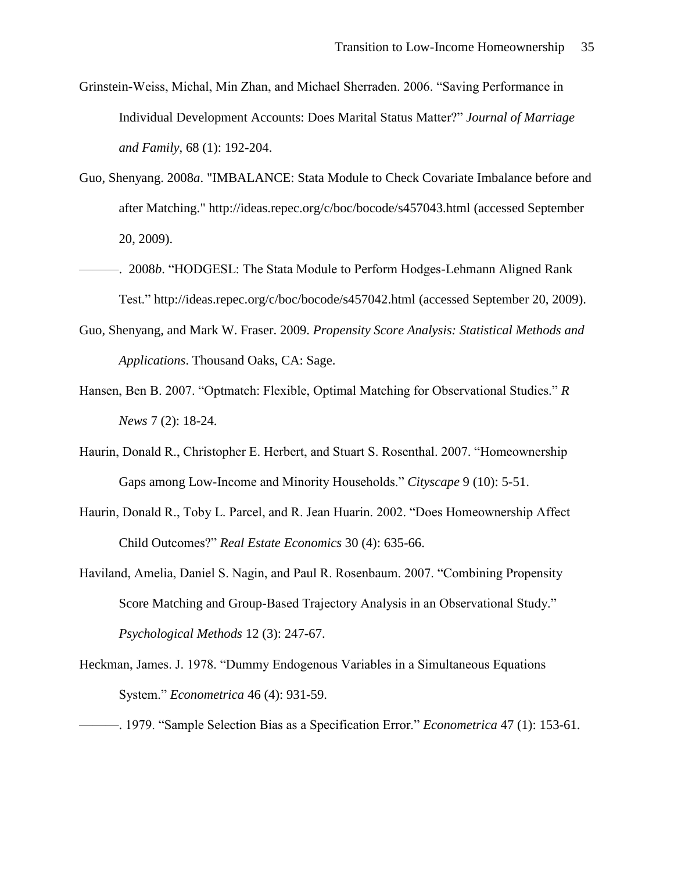- Grinstein-Weiss, Michal, Min Zhan, and Michael Sherraden. 2006. "Saving Performance in Individual Development Accounts: Does Marital Status Matter?‖ *Journal of Marriage and Family*, 68 (1): 192-204.
- Guo, Shenyang. 2008*a*. "IMBALANCE: Stata Module to Check Covariate Imbalance before and after Matching." http://ideas.repec.org/c/boc/bocode/s457043.html (accessed September 20, 2009).
- ———. 2008*b*. "HODGESL: The Stata Module to Perform Hodges-Lehmann Aligned Rank Test." http://ideas.repec.org/c/boc/bocode/s457042.html (accessed September 20, 2009).
- Guo, Shenyang, and Mark W. Fraser. 2009. *Propensity Score Analysis: Statistical Methods and Applications*. Thousand Oaks, CA: Sage.
- Hansen, Ben B. 2007. "Optmatch: Flexible, Optimal Matching for Observational Studies." *R News* 7 (2): 18-24.
- Haurin, Donald R., Christopher E. Herbert, and Stuart S. Rosenthal. 2007. "Homeownership Gaps among Low-Income and Minority Households." *Cityscape* 9 (10): 5-51.
- Haurin, Donald R., Toby L. Parcel, and R. Jean Huarin. 2002. "Does Homeownership Affect Child Outcomes?‖ *Real Estate Economics* 30 (4): 635-66.
- Haviland, Amelia, Daniel S. Nagin, and Paul R. Rosenbaum. 2007. "Combining Propensity Score Matching and Group-Based Trajectory Analysis in an Observational Study." *Psychological Methods* 12 (3): 247-67.
- Heckman, James. J. 1978. "Dummy Endogenous Variables in a Simultaneous Equations" System.‖ *Econometrica* 46 (4): 931-59.
	- ———. 1979. ―Sample Selection Bias as a Specification Error.‖ *Econometrica* 47 (1): 153-61.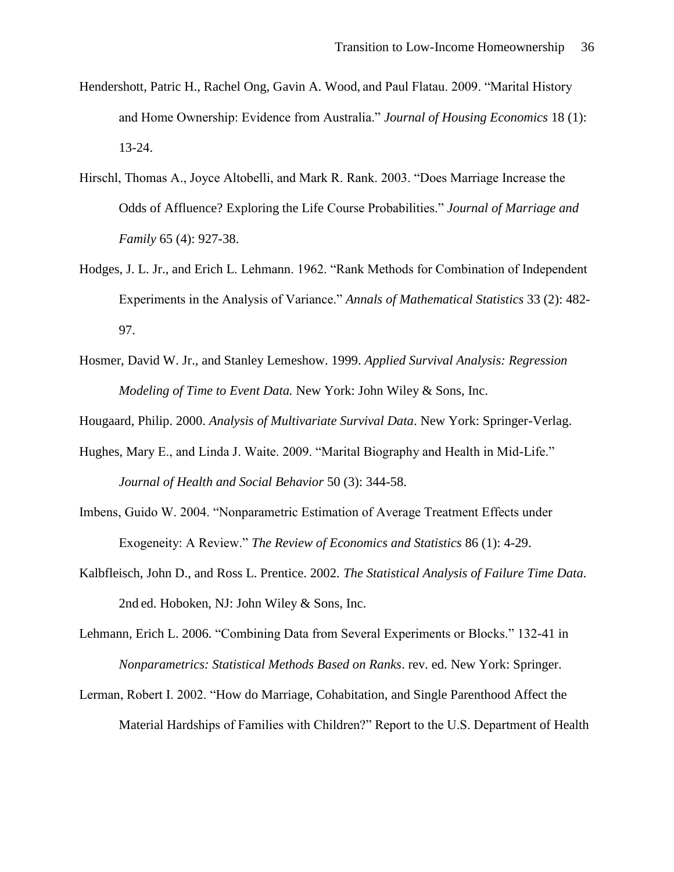- Hendershott, Patric H., Rachel Ong, Gavin A. Wood, and Paul Flatau. 2009. "Marital History and Home Ownership: Evidence from Australia." *Journal of Housing Economics* 18(1): 13-24.
- Hirschl, Thomas A., Joyce Altobelli, and Mark R. Rank. 2003. "Does Marriage Increase the Odds of Affluence? Exploring the Life Course Probabilities." *Journal of Marriage and Family* 65 (4): 927-38.
- Hodges, J. L. Jr., and Erich L. Lehmann. 1962. "Rank Methods for Combination of Independent Experiments in the Analysis of Variance." *Annals of Mathematical Statistics* 33 (2): 482-97.
- Hosmer, David W. Jr., and Stanley Lemeshow. 1999. *Applied Survival Analysis: Regression Modeling of Time to Event Data.* New York: John Wiley & Sons, Inc.

Hougaard, Philip. 2000. *Analysis of Multivariate Survival Data*. New York: Springer-Verlag.

- Hughes, Mary E., and Linda J. Waite. 2009. "Marital Biography and Health in Mid-Life." *Journal of Health and Social Behavior* 50 (3): 344-58.
- Imbens, Guido W. 2004. "Nonparametric Estimation of Average Treatment Effects under Exogeneity: A Review.‖ *The Review of Economics and Statistics* 86 (1): 4-29.
- Kalbfleisch, John D., and Ross L. Prentice. 2002. *The Statistical Analysis of Failure Time Data.*  2nd ed. Hoboken, NJ: John Wiley & Sons, Inc.
- Lehmann, Erich L. 2006. "Combining Data from Several Experiments or Blocks." 132-41 in *Nonparametrics: Statistical Methods Based on Ranks*. rev. ed. New York: Springer.
- Lerman, Robert I. 2002. "How do Marriage, Cohabitation, and Single Parenthood Affect the Material Hardships of Families with Children?" Report to the U.S. Department of Health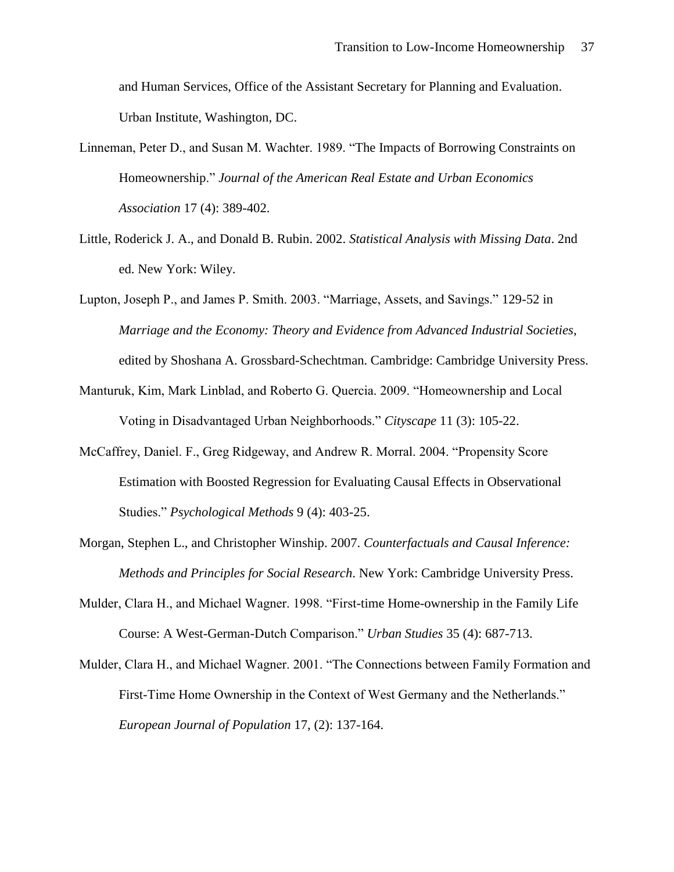and Human Services, Office of the Assistant Secretary for Planning and Evaluation. Urban Institute, Washington, DC.

- Linneman, Peter D., and Susan M. Wachter. 1989. "The Impacts of Borrowing Constraints on Homeownership.‖ *Journal of the American Real Estate and Urban Economics Association* 17 (4): 389-402.
- Little, Roderick J. A., and Donald B. Rubin. 2002. *Statistical Analysis with Missing Data*. 2nd ed. New York: Wiley.
- Lupton, Joseph P., and James P. Smith. 2003. "Marriage, Assets, and Savings." 129-52 in *Marriage and the Economy: Theory and Evidence from Advanced Industrial Societies*, edited by Shoshana A. Grossbard-Schechtman. Cambridge: Cambridge University Press.
- Manturuk, Kim, Mark Linblad, and Roberto G. Quercia. 2009. "Homeownership and Local Voting in Disadvantaged Urban Neighborhoods.‖ *Cityscape* 11 (3): 105-22.
- McCaffrey, Daniel. F., Greg Ridgeway, and Andrew R. Morral. 2004. "Propensity Score Estimation with Boosted Regression for Evaluating Causal Effects in Observational Studies.‖ *Psychological Methods* 9 (4): 403-25.
- Morgan, Stephen L., and Christopher Winship. 2007. *Counterfactuals and Causal Inference: Methods and Principles for Social Research*. New York: Cambridge University Press.
- Mulder, Clara H., and Michael Wagner. 1998. "First-time Home-ownership in the Family Life Course: A West-German-Dutch Comparison.‖ *Urban Studies* 35 (4): 687-713.
- Mulder, Clara H., and Michael Wagner. 2001. "The Connections between Family Formation and First-Time Home Ownership in the Context of West Germany and the Netherlands." *European Journal of Population* 17, (2): 137-164.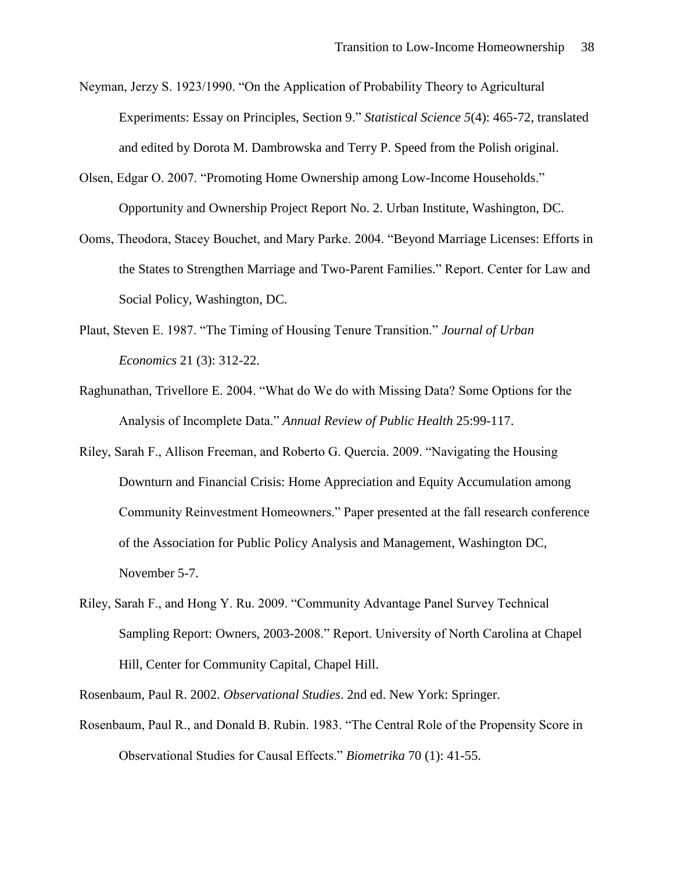- Neyman, Jerzy S. 1923/1990. "On the Application of Probability Theory to Agricultural Experiments: Essay on Principles, Section 9." *Statistical Science 5*(4): 465-72, translated and edited by Dorota M. Dambrowska and Terry P. Speed from the Polish original.
- Olsen, Edgar O. 2007. "Promoting Home Ownership among Low-Income Households." Opportunity and Ownership Project Report No. 2. Urban Institute, Washington, DC.
- Ooms, Theodora, Stacey Bouchet, and Mary Parke. 2004. "Beyond Marriage Licenses: Efforts in the States to Strengthen Marriage and Two-Parent Families." Report. Center for Law and Social Policy, Washington, DC.
- Plaut, Steven E. 1987. "The Timing of Housing Tenure Transition." *Journal of Urban Economics* 21 (3): 312-22.
- Raghunathan, Trivellore E. 2004. "What do We do with Missing Data? Some Options for the Analysis of Incomplete Data.‖ *Annual Review of Public Health* 25:99-117.
- Riley, Sarah F., Allison Freeman, and Roberto G. Quercia. 2009. "Navigating the Housing Downturn and Financial Crisis: Home Appreciation and Equity Accumulation among Community Reinvestment Homeowners." Paper presented at the fall research conference of the Association for Public Policy Analysis and Management, Washington DC, November 5-7.
- Riley, Sarah F., and Hong Y. Ru. 2009. "Community Advantage Panel Survey Technical Sampling Report: Owners, 2003-2008." Report. University of North Carolina at Chapel Hill, Center for Community Capital, Chapel Hill.

Rosenbaum, Paul R. 2002. *Observational Studies*. 2nd ed. New York: Springer.

Rosenbaum, Paul R., and Donald B. Rubin. 1983. "The Central Role of the Propensity Score in Observational Studies for Causal Effects.‖ *Biometrika* 70 (1): 41-55.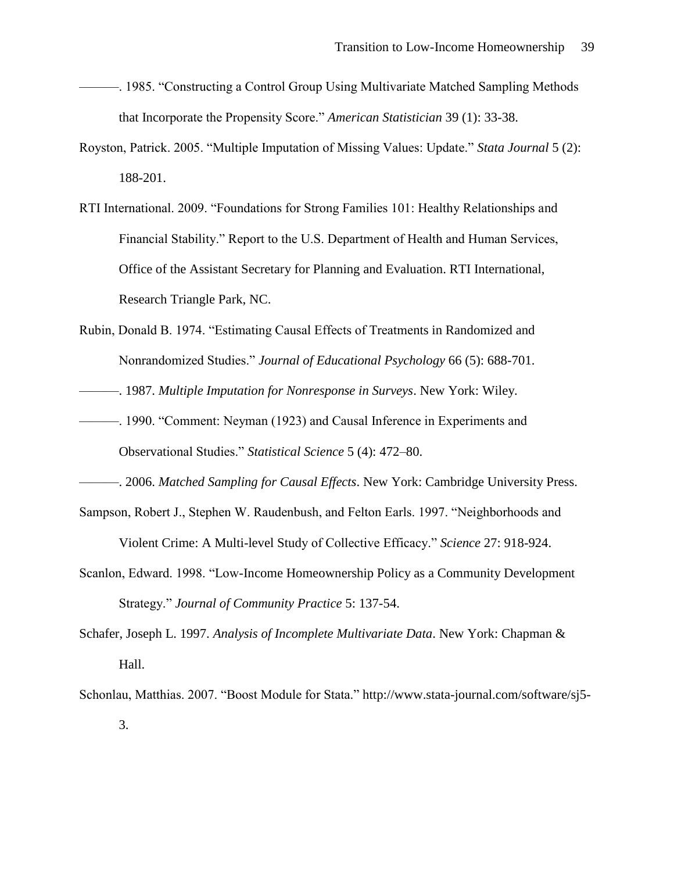- ———. 1985. "Constructing a Control Group Using Multivariate Matched Sampling Methods that Incorporate the Propensity Score." *American Statistician* 39 (1): 33-38.
- Royston, Patrick. 2005. "Multiple Imputation of Missing Values: Update." *Stata Journal* 5 (2): 188-201.
- RTI International. 2009. "Foundations for Strong Families 101: Healthy Relationships and Financial Stability." Report to the U.S. Department of Health and Human Services, Office of the Assistant Secretary for Planning and Evaluation. RTI International, Research Triangle Park, NC.
- Rubin, Donald B. 1974. "Estimating Causal Effects of Treatments in Randomized and Nonrandomized Studies.‖ *Journal of Educational Psychology* 66 (5): 688-701.

———. 1987. *Multiple Imputation for Nonresponse in Surveys*. New York: Wiley.

———. 1990. ―Comment: Neyman (1923) and Causal Inference in Experiments and Observational Studies.‖ *Statistical Science* 5 (4): 472–80.

———. 2006. *Matched Sampling for Causal Effects*. New York: Cambridge University Press.

- Sampson, Robert J., Stephen W. Raudenbush, and Felton Earls. 1997. "Neighborhoods and Violent Crime: A Multi-level Study of Collective Efficacy.‖ *Science* 27: 918-924.
- Scanlon, Edward. 1998. "Low-Income Homeownership Policy as a Community Development Strategy.‖ *Journal of Community Practice* 5: 137-54.
- Schafer, Joseph L. 1997. *Analysis of Incomplete Multivariate Data*. New York: Chapman & Hall.
- Schonlau, Matthias. 2007. "Boost Module for Stata." http://www.stata-journal.com/software/sj5-3.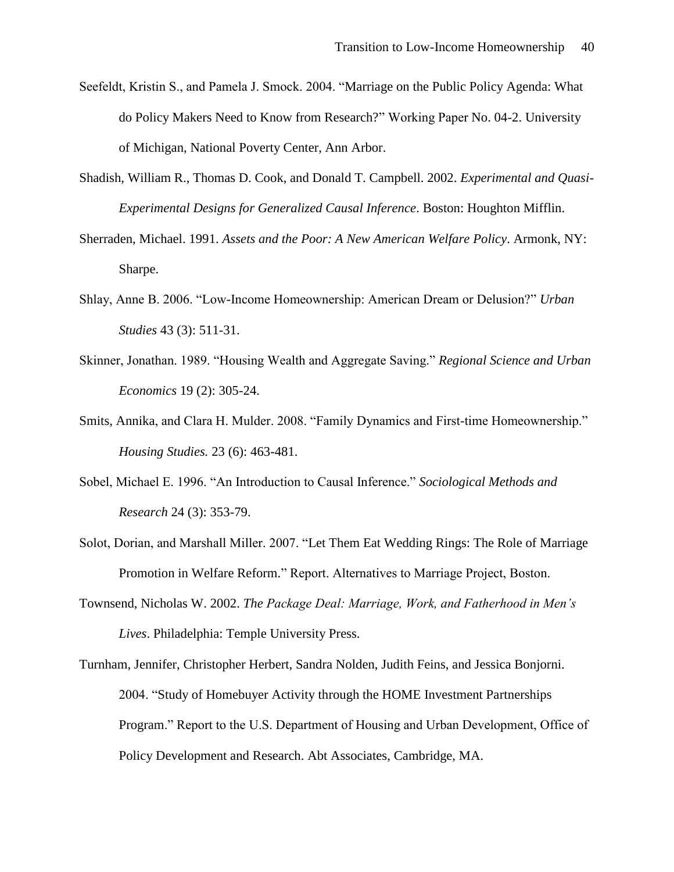- Seefeldt, Kristin S., and Pamela J. Smock. 2004. "Marriage on the Public Policy Agenda: What do Policy Makers Need to Know from Research?" Working Paper No. 04-2. University of Michigan, National Poverty Center, Ann Arbor.
- Shadish, William R., Thomas D. Cook, and Donald T. Campbell. 2002. *Experimental and Quasi-Experimental Designs for Generalized Causal Inference*. Boston: Houghton Mifflin.
- Sherraden, Michael. 1991. *Assets and the Poor: A New American Welfare Policy*. Armonk, NY: Sharpe.
- Shlay, Anne B. 2006. "Low-Income Homeownership: American Dream or Delusion?" *Urban Studies* 43 (3): 511-31.
- Skinner, Jonathan. 1989. "Housing Wealth and Aggregate Saving." *Regional Science and Urban Economics* 19 (2): 305-24.
- Smits, Annika, and Clara H. Mulder. 2008. "Family Dynamics and First-time Homeownership." *Housing Studies.* 23 (6): 463-481.
- Sobel, Michael E. 1996. "An Introduction to Causal Inference." *Sociological Methods and Research* 24 (3): 353-79.
- Solot, Dorian, and Marshall Miller. 2007. "Let Them Eat Wedding Rings: The Role of Marriage Promotion in Welfare Reform." Report. Alternatives to Marriage Project, Boston.
- Townsend, Nicholas W. 2002. *The Package Deal: Marriage, Work, and Fatherhood in Men's Lives*. Philadelphia: Temple University Press.
- Turnham, Jennifer, Christopher Herbert, Sandra Nolden, Judith Feins, and Jessica Bonjorni. 2004. ―Study of Homebuyer Activity through the HOME Investment Partnerships Program.‖ Report to the U.S. Department of Housing and Urban Development, Office of Policy Development and Research. Abt Associates, Cambridge, MA.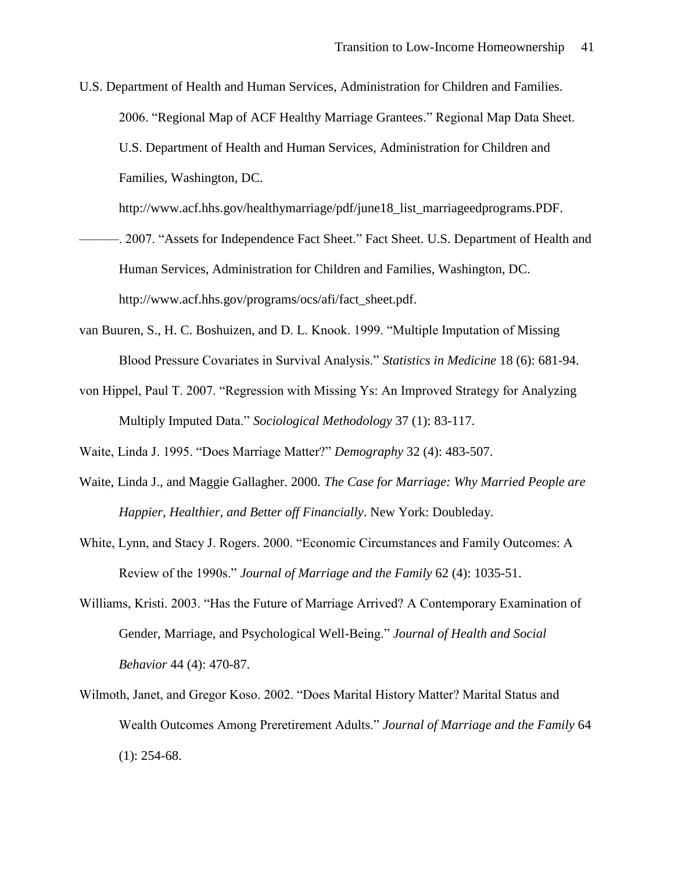U.S. Department of Health and Human Services, Administration for Children and Families. 2006. "Regional Map of ACF Healthy Marriage Grantees." Regional Map Data Sheet. U.S. Department of Health and Human Services, Administration for Children and Families, Washington, DC.

http://www.acf.hhs.gov/healthymarriage/pdf/june18\_list\_marriageedprograms.PDF.

- -. 2007. "Assets for Independence Fact Sheet." Fact Sheet. U.S. Department of Health and Human Services, Administration for Children and Families, Washington, DC. http://www.acf.hhs.gov/programs/ocs/afi/fact\_sheet.pdf.
- van Buuren, S., H. C. Boshuizen, and D. L. Knook. 1999. "Multiple Imputation of Missing Blood Pressure Covariates in Survival Analysis.‖ *Statistics in Medicine* 18 (6): 681-94.
- von Hippel, Paul T. 2007. "Regression with Missing Ys: An Improved Strategy for Analyzing Multiply Imputed Data.‖ *Sociological Methodology* 37 (1): 83-117.

Waite, Linda J. 1995. "Does Marriage Matter?" *Demography* 32 (4): 483-507.

- Waite, Linda J., and Maggie Gallagher. 2000. *The Case for Marriage: Why Married People are Happier, Healthier, and Better off Financially*. New York: Doubleday.
- White, Lynn, and Stacy J. Rogers. 2000. "Economic Circumstances and Family Outcomes: A Review of the 1990s." *Journal of Marriage and the Family* 62 (4): 1035-51.
- Williams, Kristi. 2003. "Has the Future of Marriage Arrived? A Contemporary Examination of Gender, Marriage, and Psychological Well-Being." *Journal of Health and Social Behavior* 44 (4): 470-87.
- Wilmoth, Janet, and Gregor Koso. 2002. "Does Marital History Matter? Marital Status and Wealth Outcomes Among Preretirement Adults." *Journal of Marriage and the Family* 64  $(1)$ : 254-68.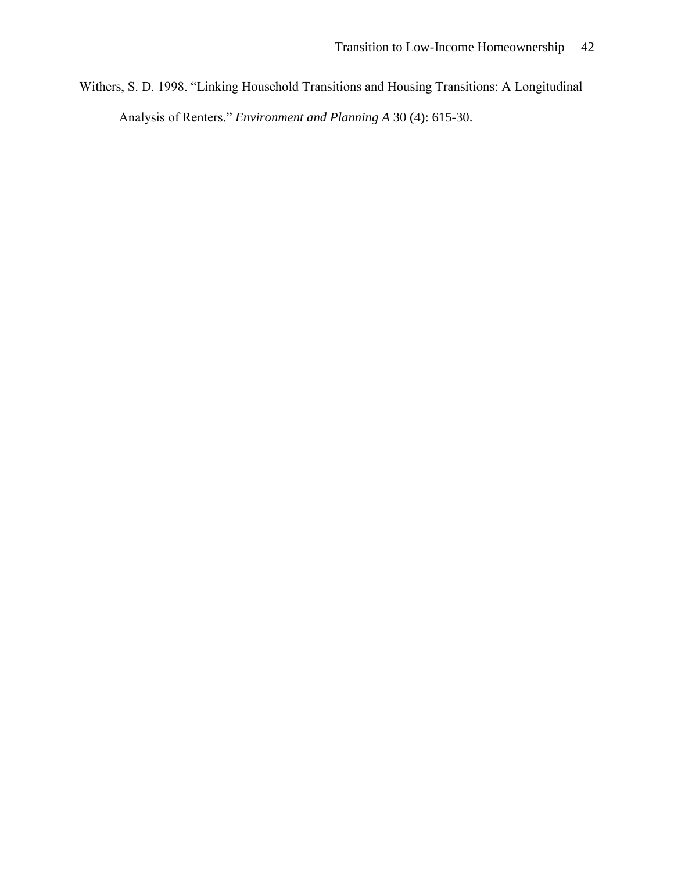Withers, S. D. 1998. "Linking Household Transitions and Housing Transitions: A Longitudinal Analysis of Renters." *Environment and Planning A* 30 (4): 615-30.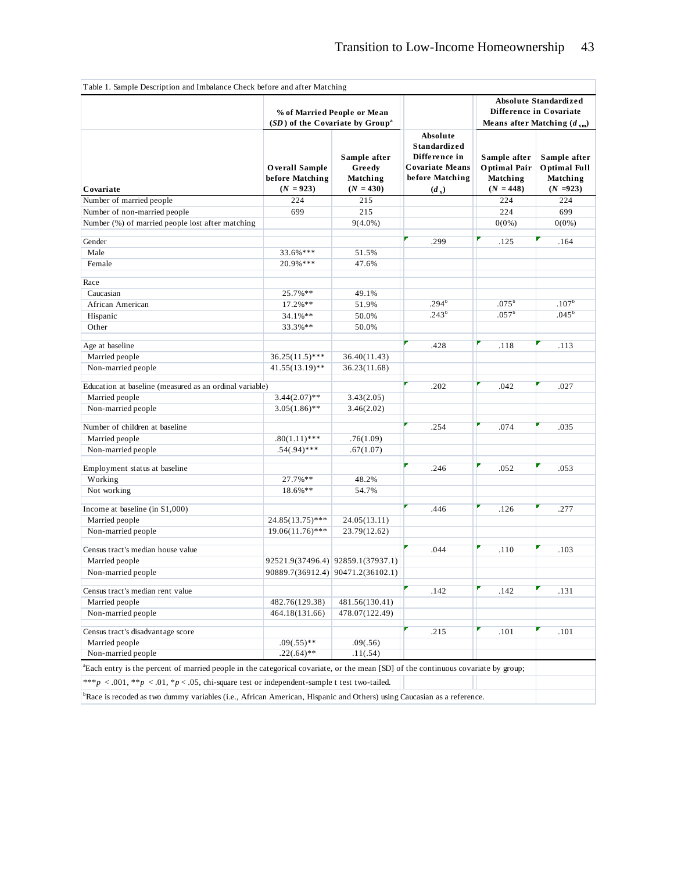|                                                                                                                                               |                                                  | % of Married People or Mean<br>(SD) of the Covariate by Group <sup>a</sup> |                                                                                                   | <b>Absolute Standardized</b><br>Difference in Covariate<br>Means after Matching $(d_{xm})$ |                                                         |
|-----------------------------------------------------------------------------------------------------------------------------------------------|--------------------------------------------------|----------------------------------------------------------------------------|---------------------------------------------------------------------------------------------------|--------------------------------------------------------------------------------------------|---------------------------------------------------------|
| Covariate                                                                                                                                     | Overall Sample<br>before Matching<br>$(N = 923)$ | Sample after<br>Greedy<br>Matching<br>$(N = 430)$                          | Absolute<br>Standardized<br>Difference in<br><b>Covariate Means</b><br>before Matching<br>$(d_x)$ | Sample after<br>Optimal Pair<br>Matching<br>$(N = 448)$                                    | Sample after<br>Optimal Full<br>Matching<br>$(N = 923)$ |
| Number of married people                                                                                                                      | 224                                              | 215                                                                        |                                                                                                   | 224                                                                                        | 224                                                     |
| Number of non-married people                                                                                                                  | 699                                              | 215                                                                        |                                                                                                   | 224                                                                                        | 699                                                     |
| Number (%) of married people lost after matching                                                                                              |                                                  | $9(4.0\%)$                                                                 |                                                                                                   | $0(0\%)$                                                                                   | $0(0\%)$                                                |
|                                                                                                                                               |                                                  |                                                                            |                                                                                                   |                                                                                            |                                                         |
| Gender                                                                                                                                        |                                                  |                                                                            | .299                                                                                              | .125                                                                                       | .164                                                    |
| Male                                                                                                                                          | 33.6%***                                         | 51.5%                                                                      |                                                                                                   |                                                                                            |                                                         |
| Female                                                                                                                                        | 20.9%***                                         | 47.6%                                                                      |                                                                                                   |                                                                                            |                                                         |
| Race                                                                                                                                          |                                                  |                                                                            |                                                                                                   |                                                                                            |                                                         |
| Caucasian                                                                                                                                     | 25.7%**                                          | 49.1%                                                                      |                                                                                                   |                                                                                            |                                                         |
| African American                                                                                                                              | 17.2%**                                          | 51.9%                                                                      | .294 <sup>b</sup>                                                                                 | $.075^{\circ}$                                                                             | .107 <sup>b</sup>                                       |
| Hispanic                                                                                                                                      | 34.1%**                                          | 50.0%                                                                      | .243 <sup>b</sup>                                                                                 | .057 <sup>b</sup>                                                                          | .045 <sup>b</sup>                                       |
| Other                                                                                                                                         | 33.3%**                                          | 50.0%                                                                      |                                                                                                   |                                                                                            |                                                         |
|                                                                                                                                               |                                                  |                                                                            |                                                                                                   |                                                                                            |                                                         |
| Age at baseline                                                                                                                               |                                                  |                                                                            | .428                                                                                              | .118                                                                                       | .113                                                    |
| Married people                                                                                                                                | $36.25(11.5)$ ***                                | 36.40(11.43)                                                               |                                                                                                   |                                                                                            |                                                         |
| Non-married people                                                                                                                            | $41.55(13.19)$ **                                | 36.23(11.68)                                                               |                                                                                                   |                                                                                            |                                                         |
|                                                                                                                                               |                                                  |                                                                            |                                                                                                   |                                                                                            |                                                         |
| Education at baseline (measured as an ordinal variable)                                                                                       |                                                  |                                                                            | .202                                                                                              | .042                                                                                       | .027                                                    |
| Married people                                                                                                                                | $3.44(2.07)$ **                                  | 3.43(2.05)                                                                 |                                                                                                   |                                                                                            |                                                         |
| Non-married people                                                                                                                            | $3.05(1.86)$ **                                  | 3.46(2.02)                                                                 |                                                                                                   |                                                                                            |                                                         |
| Number of children at baseline                                                                                                                |                                                  |                                                                            | .254                                                                                              | .074                                                                                       | .035                                                    |
| Married people                                                                                                                                | $.80(1.11)$ ***                                  | .76(1.09)                                                                  |                                                                                                   |                                                                                            |                                                         |
| Non-married people                                                                                                                            | $.54(.94)$ ***                                   | .67(1.07)                                                                  |                                                                                                   |                                                                                            |                                                         |
|                                                                                                                                               |                                                  |                                                                            |                                                                                                   |                                                                                            |                                                         |
| Employment status at baseline                                                                                                                 |                                                  |                                                                            | .246                                                                                              | .052                                                                                       | .053                                                    |
| Working                                                                                                                                       | 27.7%**                                          | 48.2%                                                                      |                                                                                                   |                                                                                            |                                                         |
| Not working                                                                                                                                   | 18.6%**                                          | 54.7%                                                                      |                                                                                                   |                                                                                            |                                                         |
| Income at baseline (in \$1,000)                                                                                                               |                                                  |                                                                            | .446                                                                                              | .126                                                                                       | .277                                                    |
| Married people                                                                                                                                | $24.85(13.75)$ ***                               | 24.05(13.11)                                                               |                                                                                                   |                                                                                            |                                                         |
| Non-married people                                                                                                                            | $19.06(11.76)$ ***                               | 23.79(12.62)                                                               |                                                                                                   |                                                                                            |                                                         |
|                                                                                                                                               |                                                  |                                                                            |                                                                                                   |                                                                                            |                                                         |
| Census tract's median house value                                                                                                             |                                                  |                                                                            | .044                                                                                              | .110                                                                                       | .103                                                    |
| Married people                                                                                                                                |                                                  | 92521.9(37496.4) 92859.1(37937.1)                                          |                                                                                                   |                                                                                            |                                                         |
| Non-married people                                                                                                                            |                                                  | 90889.7(36912.4) 90471.2(36102.1)                                          |                                                                                                   |                                                                                            |                                                         |
|                                                                                                                                               |                                                  |                                                                            |                                                                                                   |                                                                                            |                                                         |
| Census tract's median rent value                                                                                                              |                                                  |                                                                            | .142                                                                                              | .142                                                                                       | .131                                                    |
| Married people                                                                                                                                | 482.76(129.38)                                   | 481.56(130.41)                                                             |                                                                                                   |                                                                                            |                                                         |
| Non-married people                                                                                                                            | 464.18(131.66)                                   | 478.07(122.49)                                                             |                                                                                                   |                                                                                            |                                                         |
| Census tract's disadvantage score                                                                                                             |                                                  |                                                                            | .215                                                                                              | .101                                                                                       | .101                                                    |
| Married people                                                                                                                                | $.09(.55)$ **                                    | .09(.56)                                                                   |                                                                                                   |                                                                                            |                                                         |
| Non-married people                                                                                                                            | $.22(.64)$ **                                    | .11(.54)                                                                   |                                                                                                   |                                                                                            |                                                         |
| <sup>a</sup> Each entry is the percent of married people in the categorical covariate, or the mean [SD] of the continuous covariate by group; |                                                  |                                                                            |                                                                                                   |                                                                                            |                                                         |
|                                                                                                                                               |                                                  |                                                                            |                                                                                                   |                                                                                            |                                                         |
| ***p <.001, **p <.01, *p <.05, chi-square test or independent-sample t test two-tailed.                                                       |                                                  |                                                                            |                                                                                                   |                                                                                            |                                                         |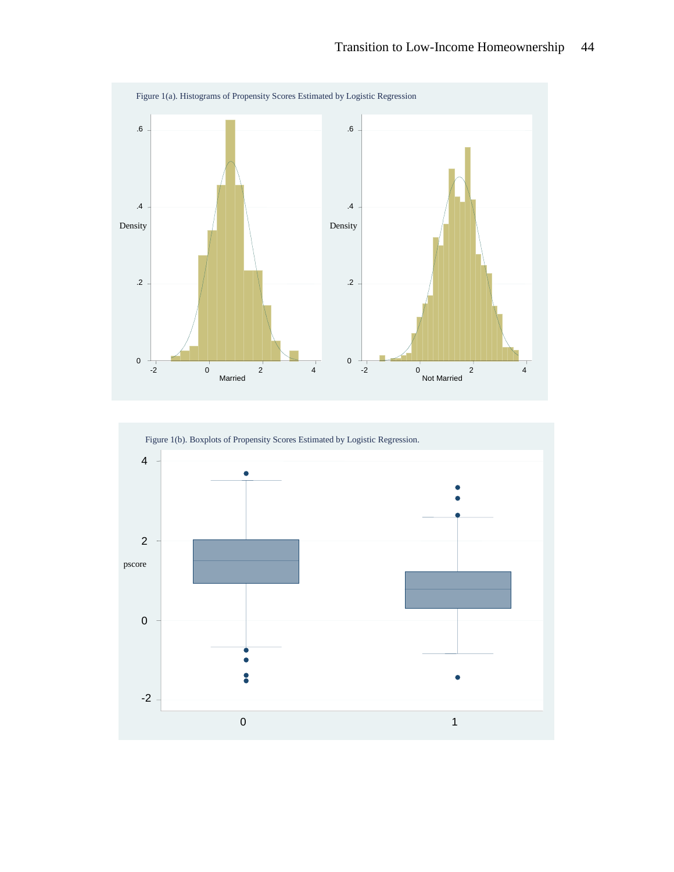

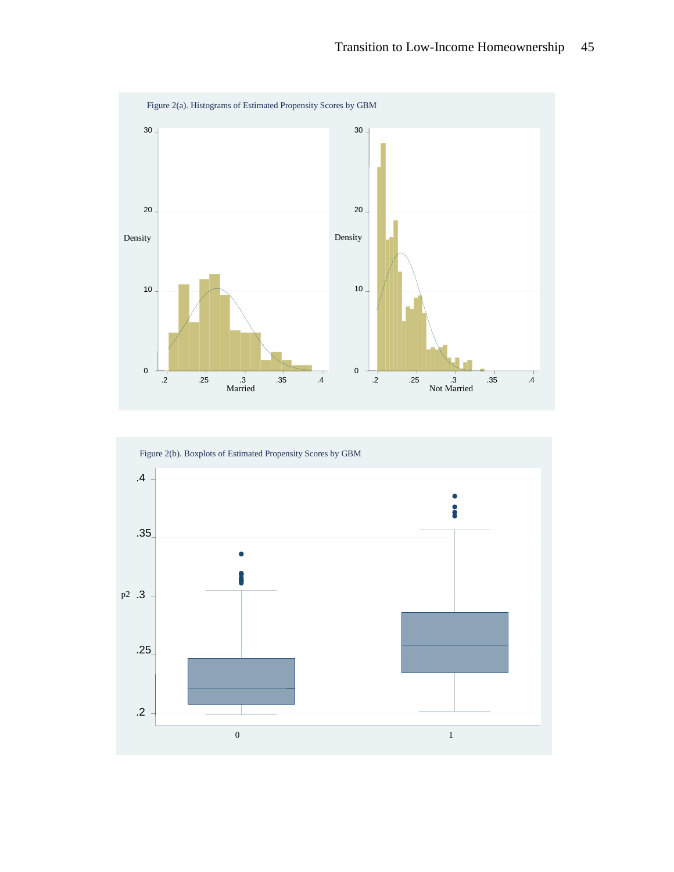